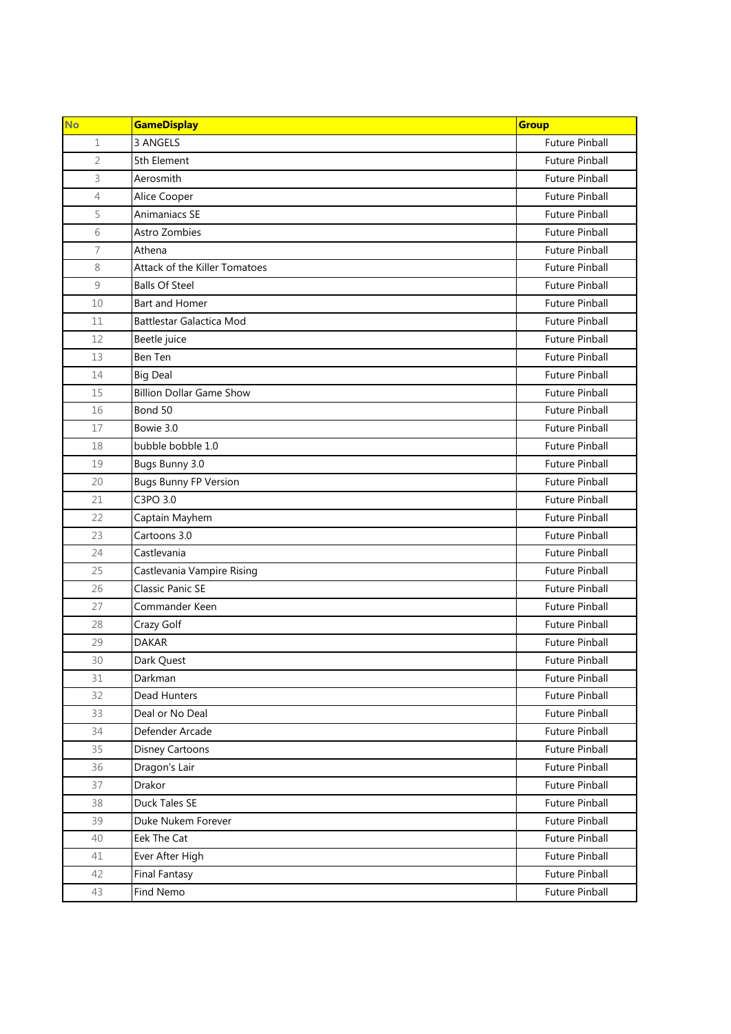| <b>No</b>      | <b>GameDisplay</b>              | Group                 |
|----------------|---------------------------------|-----------------------|
| $\mathbf{1}$   | 3 ANGELS                        | <b>Future Pinball</b> |
| $\overline{2}$ | 5th Element                     | <b>Future Pinball</b> |
| 3              | Aerosmith                       | <b>Future Pinball</b> |
| 4              | Alice Cooper                    | <b>Future Pinball</b> |
| 5              | Animaniacs SE                   | <b>Future Pinball</b> |
| 6              | Astro Zombies                   | <b>Future Pinball</b> |
| $\overline{7}$ | Athena                          | <b>Future Pinball</b> |
| 8              | Attack of the Killer Tomatoes   | <b>Future Pinball</b> |
| 9              | <b>Balls Of Steel</b>           | <b>Future Pinball</b> |
| 10             | Bart and Homer                  | <b>Future Pinball</b> |
| 11             | <b>Battlestar Galactica Mod</b> | <b>Future Pinball</b> |
| 12             | Beetle juice                    | <b>Future Pinball</b> |
| 13             | Ben Ten                         | <b>Future Pinball</b> |
| 14             | <b>Big Deal</b>                 | <b>Future Pinball</b> |
| 15             | <b>Billion Dollar Game Show</b> | <b>Future Pinball</b> |
| 16             | Bond 50                         | <b>Future Pinball</b> |
| 17             | Bowie 3.0                       | <b>Future Pinball</b> |
| 18             | bubble bobble 1.0               | <b>Future Pinball</b> |
| 19             | Bugs Bunny 3.0                  | Future Pinball        |
| 20             | <b>Bugs Bunny FP Version</b>    | <b>Future Pinball</b> |
| 21             | C3PO 3.0                        | <b>Future Pinball</b> |
| 22             | Captain Mayhem                  | <b>Future Pinball</b> |
| 23             | Cartoons 3.0                    | <b>Future Pinball</b> |
| 24             | Castlevania                     | <b>Future Pinball</b> |
| 25             | Castlevania Vampire Rising      | <b>Future Pinball</b> |
| 26             | <b>Classic Panic SE</b>         | <b>Future Pinball</b> |
| 27             | Commander Keen                  | <b>Future Pinball</b> |
| 28             | Crazy Golf                      | <b>Future Pinball</b> |
| 29             | <b>DAKAR</b>                    | <b>Future Pinball</b> |
| 30             | Dark Quest                      | <b>Future Pinball</b> |
| 31             | Darkman                         | Future Pinball        |
| 32             | Dead Hunters                    | Future Pinball        |
| 33             | Deal or No Deal                 | Future Pinball        |
| 34             | Defender Arcade                 | Future Pinball        |
| 35             | <b>Disney Cartoons</b>          | Future Pinball        |
| 36             | Dragon's Lair                   | Future Pinball        |
| 37             | Drakor                          | Future Pinball        |
| 38             | Duck Tales SE                   | Future Pinball        |
| 39             | Duke Nukem Forever              | Future Pinball        |
| 40             | Eek The Cat                     | Future Pinball        |
| 41             | Ever After High                 | Future Pinball        |
| 42             | <b>Final Fantasy</b>            | Future Pinball        |
| 43             | Find Nemo                       | Future Pinball        |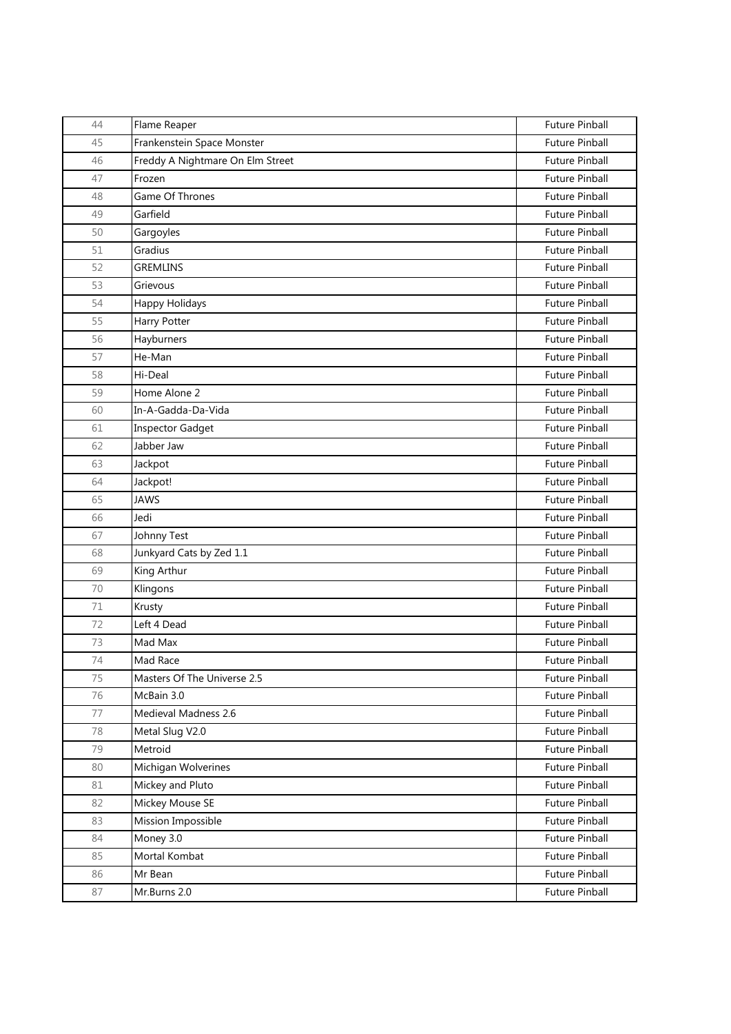| 44 | Flame Reaper                     | <b>Future Pinball</b> |
|----|----------------------------------|-----------------------|
| 45 | Frankenstein Space Monster       | <b>Future Pinball</b> |
| 46 | Freddy A Nightmare On Elm Street | <b>Future Pinball</b> |
| 47 | Frozen                           | <b>Future Pinball</b> |
| 48 | Game Of Thrones                  | <b>Future Pinball</b> |
| 49 | Garfield                         | <b>Future Pinball</b> |
| 50 | Gargoyles                        | <b>Future Pinball</b> |
| 51 | Gradius                          | <b>Future Pinball</b> |
| 52 | <b>GREMLINS</b>                  | Future Pinball        |
| 53 | Grievous                         | <b>Future Pinball</b> |
| 54 | Happy Holidays                   | <b>Future Pinball</b> |
| 55 | Harry Potter                     | <b>Future Pinball</b> |
| 56 | Hayburners                       | <b>Future Pinball</b> |
| 57 | He-Man                           | <b>Future Pinball</b> |
| 58 | Hi-Deal                          | <b>Future Pinball</b> |
| 59 | Home Alone 2                     | Future Pinball        |
| 60 | In-A-Gadda-Da-Vida               | <b>Future Pinball</b> |
| 61 | <b>Inspector Gadget</b>          | <b>Future Pinball</b> |
| 62 | Jabber Jaw                       | <b>Future Pinball</b> |
| 63 | Jackpot                          | <b>Future Pinball</b> |
| 64 | Jackpot!                         | <b>Future Pinball</b> |
| 65 | <b>JAWS</b>                      | <b>Future Pinball</b> |
| 66 | Jedi                             | <b>Future Pinball</b> |
| 67 | Johnny Test                      | <b>Future Pinball</b> |
| 68 | Junkyard Cats by Zed 1.1         | <b>Future Pinball</b> |
| 69 | King Arthur                      | <b>Future Pinball</b> |
| 70 | Klingons                         | <b>Future Pinball</b> |
| 71 | Krusty                           | <b>Future Pinball</b> |
| 72 | Left 4 Dead                      | <b>Future Pinball</b> |
| 73 | Mad Max                          | <b>Future Pinball</b> |
| 74 | Mad Race                         | <b>Future Pinball</b> |
| 75 | Masters Of The Universe 2.5      | Future Pinball        |
| 76 | McBain 3.0                       | Future Pinball        |
| 77 | Medieval Madness 2.6             | Future Pinball        |
| 78 | Metal Slug V2.0                  | Future Pinball        |
| 79 | Metroid                          | Future Pinball        |
| 80 | Michigan Wolverines              | Future Pinball        |
| 81 | Mickey and Pluto                 | Future Pinball        |
| 82 | Mickey Mouse SE                  | Future Pinball        |
| 83 | Mission Impossible               | Future Pinball        |
| 84 | Money 3.0                        | Future Pinball        |
| 85 | Mortal Kombat                    | <b>Future Pinball</b> |
| 86 | Mr Bean                          | Future Pinball        |
| 87 | Mr.Burns 2.0                     | Future Pinball        |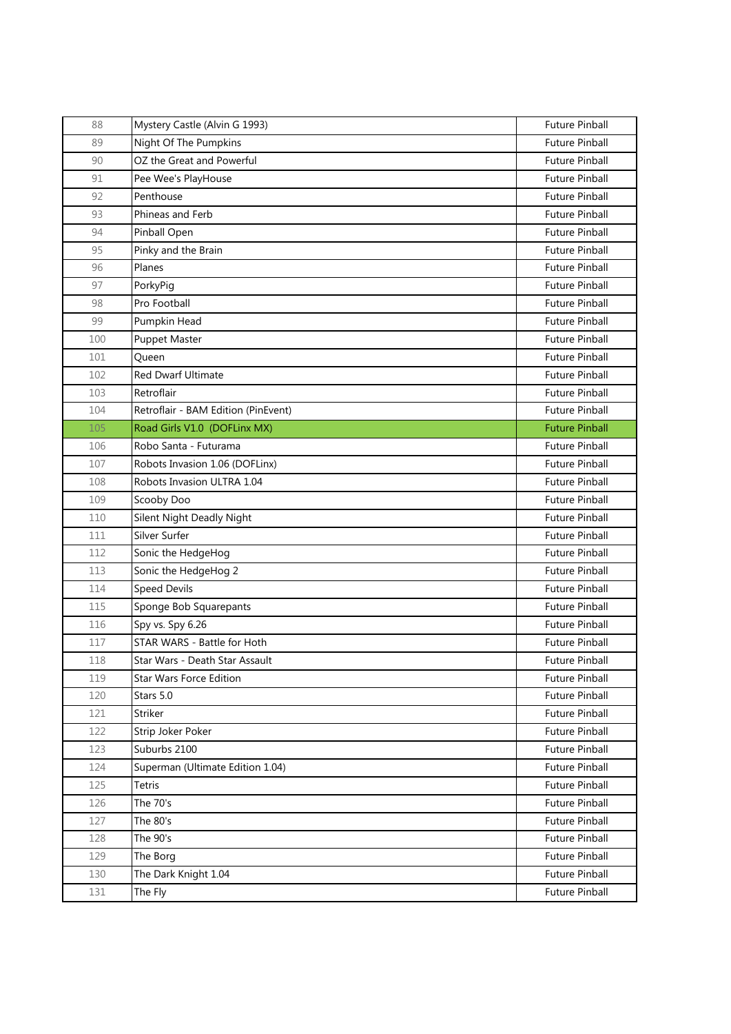| 88  | Mystery Castle (Alvin G 1993)       | <b>Future Pinball</b> |
|-----|-------------------------------------|-----------------------|
| 89  | Night Of The Pumpkins               | <b>Future Pinball</b> |
| 90  | OZ the Great and Powerful           | <b>Future Pinball</b> |
| 91  | Pee Wee's PlayHouse                 | <b>Future Pinball</b> |
| 92  | Penthouse                           | <b>Future Pinball</b> |
| 93  | Phineas and Ferb                    | <b>Future Pinball</b> |
| 94  | Pinball Open                        | <b>Future Pinball</b> |
| 95  | Pinky and the Brain                 | <b>Future Pinball</b> |
| 96  | Planes                              | Future Pinball        |
| 97  | PorkyPig                            | <b>Future Pinball</b> |
| 98  | Pro Football                        | <b>Future Pinball</b> |
| 99  | Pumpkin Head                        | <b>Future Pinball</b> |
| 100 | Puppet Master                       | <b>Future Pinball</b> |
| 101 | Queen                               | <b>Future Pinball</b> |
| 102 | Red Dwarf Ultimate                  | <b>Future Pinball</b> |
| 103 | Retroflair                          | <b>Future Pinball</b> |
| 104 | Retroflair - BAM Edition (PinEvent) | <b>Future Pinball</b> |
| 105 | Road Girls V1.0 (DOFLinx MX)        | <b>Future Pinball</b> |
| 106 | Robo Santa - Futurama               | <b>Future Pinball</b> |
| 107 | Robots Invasion 1.06 (DOFLinx)      | <b>Future Pinball</b> |
| 108 | Robots Invasion ULTRA 1.04          | <b>Future Pinball</b> |
| 109 | Scooby Doo                          | <b>Future Pinball</b> |
| 110 | Silent Night Deadly Night           | <b>Future Pinball</b> |
| 111 | Silver Surfer                       | <b>Future Pinball</b> |
| 112 | Sonic the HedgeHog                  | <b>Future Pinball</b> |
| 113 | Sonic the HedgeHog 2                | <b>Future Pinball</b> |
| 114 | <b>Speed Devils</b>                 | <b>Future Pinball</b> |
| 115 | Sponge Bob Squarepants              | <b>Future Pinball</b> |
| 116 | Spy vs. Spy 6.26                    | <b>Future Pinball</b> |
| 117 | STAR WARS - Battle for Hoth         | <b>Future Pinball</b> |
| 118 | Star Wars - Death Star Assault      | <b>Future Pinball</b> |
| 119 | Star Wars Force Edition             | <b>Future Pinball</b> |
| 120 | Stars 5.0                           | <b>Future Pinball</b> |
| 121 | Striker                             | Future Pinball        |
| 122 | Strip Joker Poker                   | Future Pinball        |
| 123 | Suburbs 2100                        | <b>Future Pinball</b> |
| 124 | Superman (Ultimate Edition 1.04)    | Future Pinball        |
| 125 | Tetris                              | Future Pinball        |
| 126 | The 70's                            | Future Pinball        |
| 127 | The 80's                            | Future Pinball        |
| 128 | The 90's                            | <b>Future Pinball</b> |
| 129 | The Borg                            | Future Pinball        |
| 130 | The Dark Knight 1.04                | Future Pinball        |
| 131 | The Fly                             | Future Pinball        |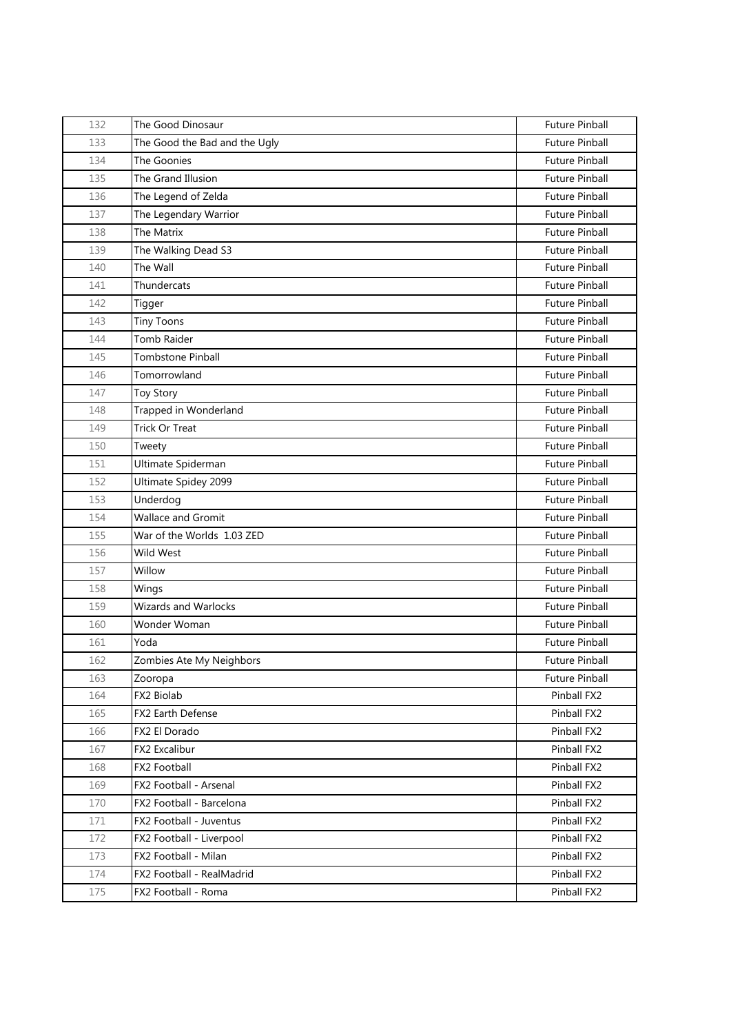| 132 | The Good Dinosaur             | <b>Future Pinball</b> |
|-----|-------------------------------|-----------------------|
| 133 | The Good the Bad and the Ugly | <b>Future Pinball</b> |
| 134 | The Goonies                   | <b>Future Pinball</b> |
| 135 | The Grand Illusion            | <b>Future Pinball</b> |
| 136 | The Legend of Zelda           | <b>Future Pinball</b> |
| 137 | The Legendary Warrior         | <b>Future Pinball</b> |
| 138 | The Matrix                    | <b>Future Pinball</b> |
| 139 | The Walking Dead S3           | <b>Future Pinball</b> |
| 140 | The Wall                      | <b>Future Pinball</b> |
| 141 | Thundercats                   | <b>Future Pinball</b> |
| 142 | Tigger                        | <b>Future Pinball</b> |
| 143 | <b>Tiny Toons</b>             | <b>Future Pinball</b> |
| 144 | <b>Tomb Raider</b>            | <b>Future Pinball</b> |
| 145 | Tombstone Pinball             | <b>Future Pinball</b> |
| 146 | Tomorrowland                  | <b>Future Pinball</b> |
| 147 | <b>Toy Story</b>              | <b>Future Pinball</b> |
| 148 | Trapped in Wonderland         | <b>Future Pinball</b> |
| 149 | <b>Trick Or Treat</b>         | <b>Future Pinball</b> |
| 150 | Tweety                        | <b>Future Pinball</b> |
| 151 | Ultimate Spiderman            | <b>Future Pinball</b> |
| 152 | Ultimate Spidey 2099          | <b>Future Pinball</b> |
| 153 | Underdog                      | <b>Future Pinball</b> |
| 154 | <b>Wallace and Gromit</b>     | <b>Future Pinball</b> |
| 155 | War of the Worlds 1.03 ZED    | <b>Future Pinball</b> |
| 156 | Wild West                     | <b>Future Pinball</b> |
| 157 | Willow                        | <b>Future Pinball</b> |
| 158 | Wings                         | <b>Future Pinball</b> |
| 159 | Wizards and Warlocks          | Future Pinball        |
| 160 | Wonder Woman                  | <b>Future Pinball</b> |
| 161 | Yoda                          | <b>Future Pinball</b> |
| 162 | Zombies Ate My Neighbors      | <b>Future Pinball</b> |
| 163 | Zooropa                       | Future Pinball        |
| 164 | FX2 Biolab                    | Pinball FX2           |
| 165 | FX2 Earth Defense             | Pinball FX2           |
| 166 | FX2 El Dorado                 | Pinball FX2           |
| 167 | FX2 Excalibur                 | Pinball FX2           |
| 168 | FX2 Football                  | Pinball FX2           |
| 169 | FX2 Football - Arsenal        | Pinball FX2           |
| 170 | FX2 Football - Barcelona      | Pinball FX2           |
| 171 | FX2 Football - Juventus       | Pinball FX2           |
| 172 | FX2 Football - Liverpool      | Pinball FX2           |
| 173 | FX2 Football - Milan          | Pinball FX2           |
| 174 | FX2 Football - RealMadrid     | Pinball FX2           |
| 175 | FX2 Football - Roma           | Pinball FX2           |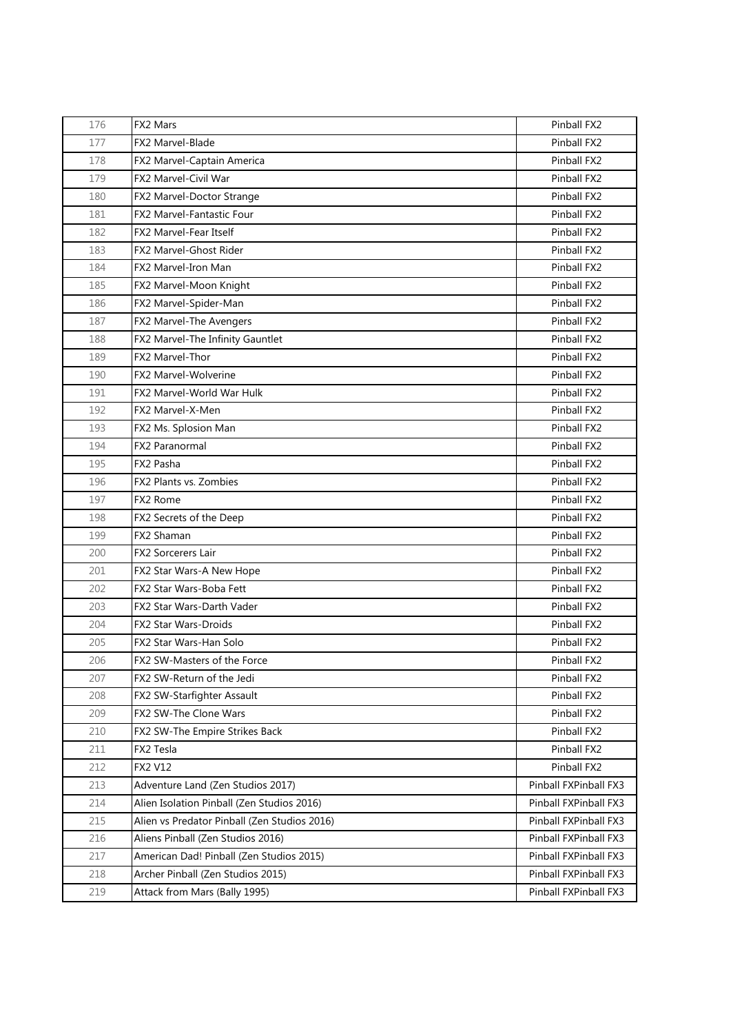| 176 | FX2 Mars                                     | Pinball FX2           |
|-----|----------------------------------------------|-----------------------|
| 177 | FX2 Marvel-Blade                             | Pinball FX2           |
| 178 | FX2 Marvel-Captain America                   | Pinball FX2           |
| 179 | FX2 Marvel-Civil War                         | Pinball FX2           |
| 180 | FX2 Marvel-Doctor Strange                    | Pinball FX2           |
| 181 | FX2 Marvel-Fantastic Four                    | Pinball FX2           |
| 182 | FX2 Marvel-Fear Itself                       | Pinball FX2           |
| 183 | FX2 Marvel-Ghost Rider                       | Pinball FX2           |
| 184 | FX2 Marvel-Iron Man                          | Pinball FX2           |
| 185 | FX2 Marvel-Moon Knight                       | Pinball FX2           |
| 186 | FX2 Marvel-Spider-Man                        | Pinball FX2           |
| 187 | FX2 Marvel-The Avengers                      | Pinball FX2           |
| 188 | FX2 Marvel-The Infinity Gauntlet             | Pinball FX2           |
| 189 | FX2 Marvel-Thor                              | Pinball FX2           |
| 190 | FX2 Marvel-Wolverine                         | Pinball FX2           |
| 191 | FX2 Marvel-World War Hulk                    | Pinball FX2           |
| 192 | FX2 Marvel-X-Men                             | Pinball FX2           |
| 193 | FX2 Ms. Splosion Man                         | Pinball FX2           |
| 194 | FX2 Paranormal                               | Pinball FX2           |
| 195 | FX2 Pasha                                    | Pinball FX2           |
| 196 | FX2 Plants vs. Zombies                       | Pinball FX2           |
| 197 | FX2 Rome                                     | Pinball FX2           |
| 198 | FX2 Secrets of the Deep                      | Pinball FX2           |
| 199 | FX2 Shaman                                   | Pinball FX2           |
| 200 | <b>FX2 Sorcerers Lair</b>                    | Pinball FX2           |
| 201 | FX2 Star Wars-A New Hope                     | Pinball FX2           |
| 202 | FX2 Star Wars-Boba Fett                      | Pinball FX2           |
| 203 | FX2 Star Wars-Darth Vader                    | Pinball FX2           |
| 204 | FX2 Star Wars-Droids                         | Pinball FX2           |
| 205 | FX2 Star Wars-Han Solo                       | Pinball FX2           |
| 206 | FX2 SW-Masters of the Force                  | Pinball FX2           |
| 207 | FX2 SW-Return of the Jedi                    | Pinball FX2           |
| 208 | FX2 SW-Starfighter Assault                   | Pinball FX2           |
| 209 | FX2 SW-The Clone Wars                        | Pinball FX2           |
| 210 | FX2 SW-The Empire Strikes Back               | Pinball FX2           |
| 211 | FX2 Tesla                                    | Pinball FX2           |
| 212 | <b>FX2 V12</b>                               | Pinball FX2           |
| 213 | Adventure Land (Zen Studios 2017)            | Pinball FXPinball FX3 |
| 214 | Alien Isolation Pinball (Zen Studios 2016)   | Pinball FXPinball FX3 |
| 215 | Alien vs Predator Pinball (Zen Studios 2016) | Pinball FXPinball FX3 |
| 216 | Aliens Pinball (Zen Studios 2016)            | Pinball FXPinball FX3 |
| 217 | American Dad! Pinball (Zen Studios 2015)     | Pinball FXPinball FX3 |
| 218 | Archer Pinball (Zen Studios 2015)            | Pinball FXPinball FX3 |
| 219 | Attack from Mars (Bally 1995)                | Pinball FXPinball FX3 |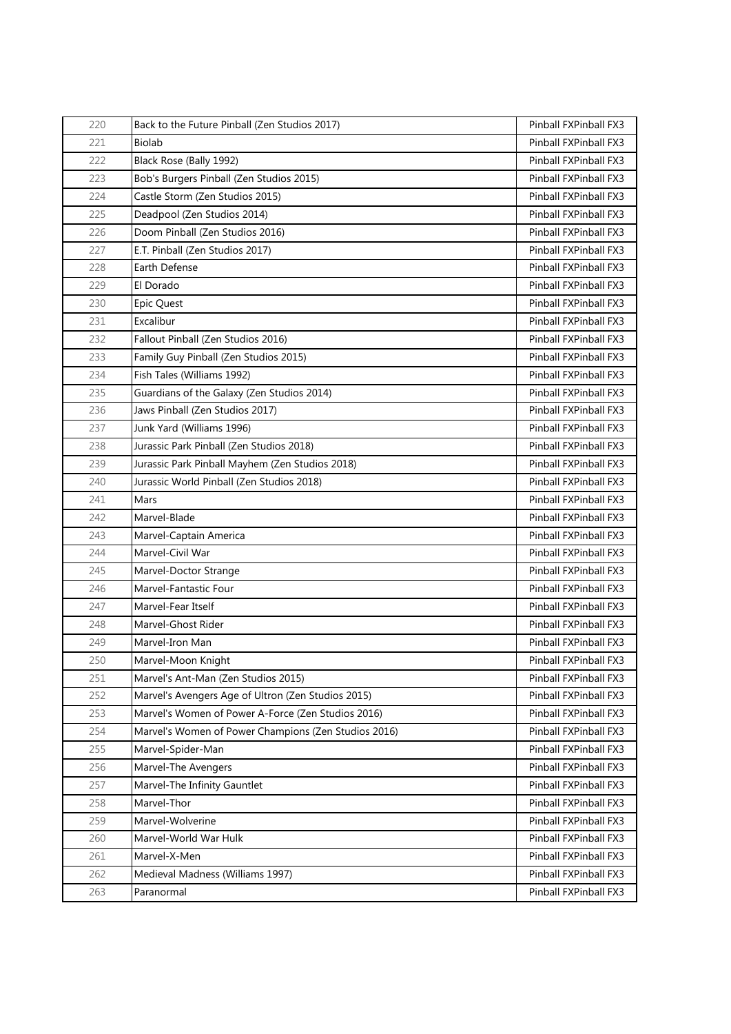| 220 | Back to the Future Pinball (Zen Studios 2017)        | Pinball FXPinball FX3 |
|-----|------------------------------------------------------|-----------------------|
| 221 | Biolab                                               | Pinball FXPinball FX3 |
| 222 | Black Rose (Bally 1992)                              | Pinball FXPinball FX3 |
| 223 | Bob's Burgers Pinball (Zen Studios 2015)             | Pinball FXPinball FX3 |
| 224 | Castle Storm (Zen Studios 2015)                      | Pinball FXPinball FX3 |
| 225 | Deadpool (Zen Studios 2014)                          | Pinball FXPinball FX3 |
| 226 | Doom Pinball (Zen Studios 2016)                      | Pinball FXPinball FX3 |
| 227 | E.T. Pinball (Zen Studios 2017)                      | Pinball FXPinball FX3 |
| 228 | Earth Defense                                        | Pinball FXPinball FX3 |
| 229 | El Dorado                                            | Pinball FXPinball FX3 |
| 230 | Epic Quest                                           | Pinball FXPinball FX3 |
| 231 | Excalibur                                            | Pinball FXPinball FX3 |
| 232 | Fallout Pinball (Zen Studios 2016)                   | Pinball FXPinball FX3 |
| 233 | Family Guy Pinball (Zen Studios 2015)                | Pinball FXPinball FX3 |
| 234 | Fish Tales (Williams 1992)                           | Pinball FXPinball FX3 |
| 235 | Guardians of the Galaxy (Zen Studios 2014)           | Pinball FXPinball FX3 |
| 236 | Jaws Pinball (Zen Studios 2017)                      | Pinball FXPinball FX3 |
| 237 | Junk Yard (Williams 1996)                            | Pinball FXPinball FX3 |
| 238 | Jurassic Park Pinball (Zen Studios 2018)             | Pinball FXPinball FX3 |
| 239 | Jurassic Park Pinball Mayhem (Zen Studios 2018)      | Pinball FXPinball FX3 |
| 240 | Jurassic World Pinball (Zen Studios 2018)            | Pinball FXPinball FX3 |
| 241 | Mars                                                 | Pinball FXPinball FX3 |
| 242 | Marvel-Blade                                         | Pinball FXPinball FX3 |
| 243 | Marvel-Captain America                               | Pinball FXPinball FX3 |
| 244 | Marvel-Civil War                                     | Pinball FXPinball FX3 |
| 245 | Marvel-Doctor Strange                                | Pinball FXPinball FX3 |
| 246 | Marvel-Fantastic Four                                | Pinball FXPinball FX3 |
| 247 | Marvel-Fear Itself                                   | Pinball FXPinball FX3 |
| 248 | Marvel-Ghost Rider                                   | Pinball FXPinball FX3 |
| 249 | Marvel-Iron Man                                      | Pinball FXPinball FX3 |
| 250 | Marvel-Moon Knight                                   | Pinball FXPinball FX3 |
| 251 | Marvel's Ant-Man (Zen Studios 2015)                  | Pinball FXPinball FX3 |
| 252 | Marvel's Avengers Age of Ultron (Zen Studios 2015)   | Pinball FXPinball FX3 |
| 253 | Marvel's Women of Power A-Force (Zen Studios 2016)   | Pinball FXPinball FX3 |
| 254 | Marvel's Women of Power Champions (Zen Studios 2016) | Pinball FXPinball FX3 |
| 255 | Marvel-Spider-Man                                    | Pinball FXPinball FX3 |
| 256 | Marvel-The Avengers                                  | Pinball FXPinball FX3 |
| 257 | Marvel-The Infinity Gauntlet                         | Pinball FXPinball FX3 |
| 258 | Marvel-Thor                                          | Pinball FXPinball FX3 |
| 259 | Marvel-Wolverine                                     | Pinball FXPinball FX3 |
| 260 | Marvel-World War Hulk                                | Pinball FXPinball FX3 |
| 261 | Marvel-X-Men                                         | Pinball FXPinball FX3 |
| 262 | Medieval Madness (Williams 1997)                     | Pinball FXPinball FX3 |
| 263 | Paranormal                                           | Pinball FXPinball FX3 |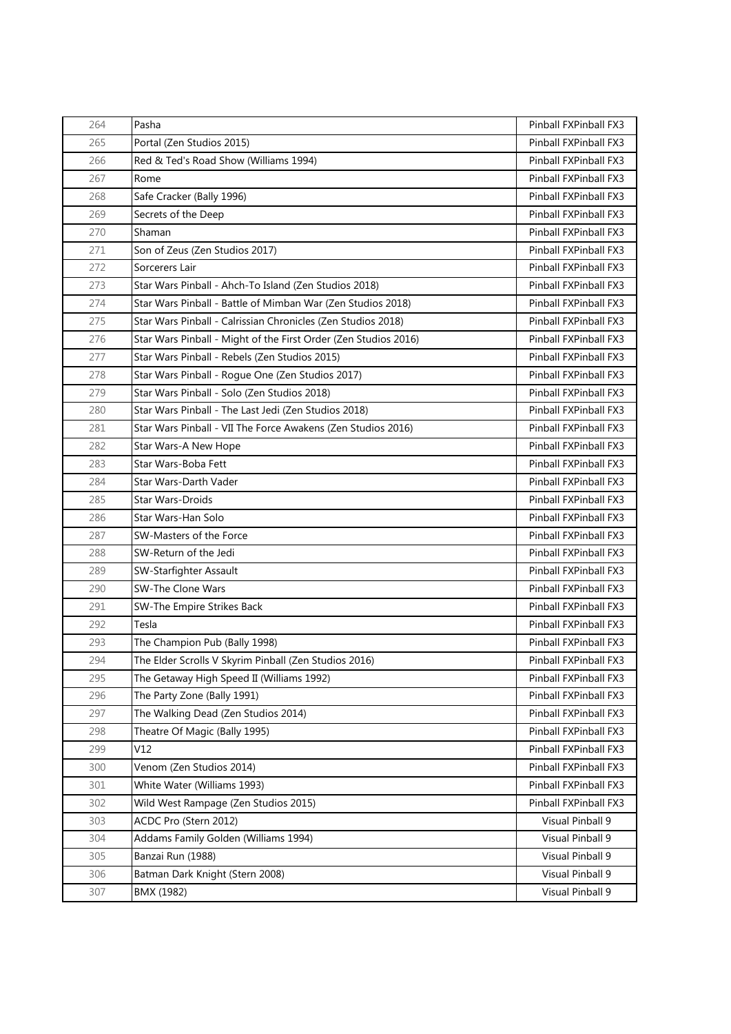| 264 | Pasha                                                           | Pinball FXPinball FX3 |
|-----|-----------------------------------------------------------------|-----------------------|
| 265 | Portal (Zen Studios 2015)                                       | Pinball FXPinball FX3 |
| 266 | Red & Ted's Road Show (Williams 1994)                           | Pinball FXPinball FX3 |
| 267 | Rome                                                            | Pinball FXPinball FX3 |
| 268 | Safe Cracker (Bally 1996)                                       | Pinball FXPinball FX3 |
| 269 | Secrets of the Deep                                             | Pinball FXPinball FX3 |
| 270 | Shaman                                                          | Pinball FXPinball FX3 |
| 271 | Son of Zeus (Zen Studios 2017)                                  | Pinball FXPinball FX3 |
| 272 | Sorcerers Lair                                                  | Pinball FXPinball FX3 |
| 273 | Star Wars Pinball - Ahch-To Island (Zen Studios 2018)           | Pinball FXPinball FX3 |
| 274 | Star Wars Pinball - Battle of Mimban War (Zen Studios 2018)     | Pinball FXPinball FX3 |
| 275 | Star Wars Pinball - Calrissian Chronicles (Zen Studios 2018)    | Pinball FXPinball FX3 |
| 276 | Star Wars Pinball - Might of the First Order (Zen Studios 2016) | Pinball FXPinball FX3 |
| 277 | Star Wars Pinball - Rebels (Zen Studios 2015)                   | Pinball FXPinball FX3 |
| 278 | Star Wars Pinball - Rogue One (Zen Studios 2017)                | Pinball FXPinball FX3 |
| 279 | Star Wars Pinball - Solo (Zen Studios 2018)                     | Pinball FXPinball FX3 |
| 280 | Star Wars Pinball - The Last Jedi (Zen Studios 2018)            | Pinball FXPinball FX3 |
| 281 | Star Wars Pinball - VII The Force Awakens (Zen Studios 2016)    | Pinball FXPinball FX3 |
| 282 | Star Wars-A New Hope                                            | Pinball FXPinball FX3 |
| 283 | Star Wars-Boba Fett                                             | Pinball FXPinball FX3 |
| 284 | Star Wars-Darth Vader                                           | Pinball FXPinball FX3 |
| 285 | Star Wars-Droids                                                | Pinball FXPinball FX3 |
| 286 | Star Wars-Han Solo                                              | Pinball FXPinball FX3 |
| 287 | SW-Masters of the Force                                         | Pinball FXPinball FX3 |
| 288 | SW-Return of the Jedi                                           | Pinball FXPinball FX3 |
| 289 | SW-Starfighter Assault                                          | Pinball FXPinball FX3 |
| 290 | SW-The Clone Wars                                               | Pinball FXPinball FX3 |
| 291 | SW-The Empire Strikes Back                                      | Pinball FXPinball FX3 |
| 292 | Tesla                                                           | Pinball FXPinball FX3 |
| 293 | The Champion Pub (Bally 1998)                                   | Pinball FXPinball FX3 |
| 294 | The Elder Scrolls V Skyrim Pinball (Zen Studios 2016)           | Pinball FXPinball FX3 |
| 295 | The Getaway High Speed II (Williams 1992)                       | Pinball FXPinball FX3 |
| 296 | The Party Zone (Bally 1991)                                     | Pinball FXPinball FX3 |
| 297 | The Walking Dead (Zen Studios 2014)                             | Pinball FXPinball FX3 |
| 298 | Theatre Of Magic (Bally 1995)                                   | Pinball FXPinball FX3 |
| 299 | V12                                                             | Pinball FXPinball FX3 |
| 300 | Venom (Zen Studios 2014)                                        | Pinball FXPinball FX3 |
| 301 | White Water (Williams 1993)                                     | Pinball FXPinball FX3 |
| 302 | Wild West Rampage (Zen Studios 2015)                            | Pinball FXPinball FX3 |
| 303 | ACDC Pro (Stern 2012)                                           | Visual Pinball 9      |
| 304 | Addams Family Golden (Williams 1994)                            | Visual Pinball 9      |
| 305 | Banzai Run (1988)                                               | Visual Pinball 9      |
| 306 | Batman Dark Knight (Stern 2008)                                 | Visual Pinball 9      |
| 307 | BMX (1982)                                                      | Visual Pinball 9      |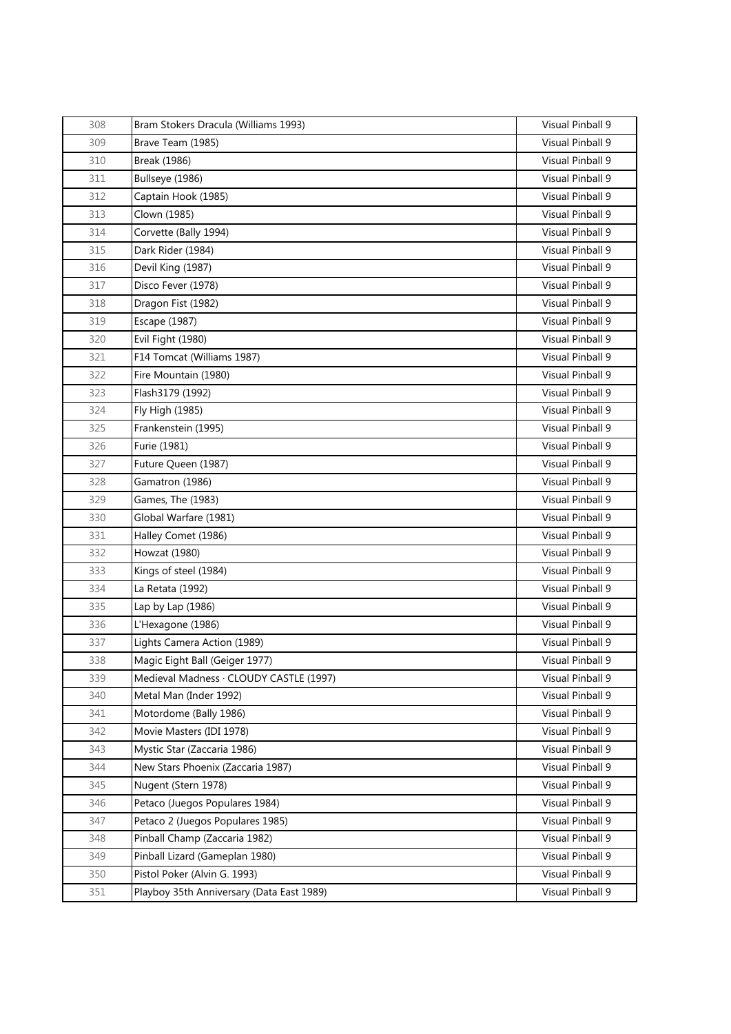| 308 | Bram Stokers Dracula (Williams 1993)      | Visual Pinball 9        |
|-----|-------------------------------------------|-------------------------|
| 309 | Brave Team (1985)                         | Visual Pinball 9        |
| 310 | Break (1986)                              | Visual Pinball 9        |
| 311 | Bullseye (1986)                           | Visual Pinball 9        |
| 312 | Captain Hook (1985)                       | Visual Pinball 9        |
| 313 | Clown (1985)                              | Visual Pinball 9        |
| 314 | Corvette (Bally 1994)                     | Visual Pinball 9        |
| 315 | Dark Rider (1984)                         | Visual Pinball 9        |
| 316 | Devil King (1987)                         | Visual Pinball 9        |
| 317 | Disco Fever (1978)                        | <b>Visual Pinball 9</b> |
| 318 | Dragon Fist (1982)                        | Visual Pinball 9        |
| 319 | Escape (1987)                             | Visual Pinball 9        |
| 320 | Evil Fight (1980)                         | Visual Pinball 9        |
| 321 | F14 Tomcat (Williams 1987)                | Visual Pinball 9        |
| 322 | Fire Mountain (1980)                      | Visual Pinball 9        |
| 323 | Flash3179 (1992)                          | Visual Pinball 9        |
| 324 | Fly High (1985)                           | Visual Pinball 9        |
| 325 | Frankenstein (1995)                       | Visual Pinball 9        |
| 326 | Furie (1981)                              | Visual Pinball 9        |
| 327 | Future Queen (1987)                       | Visual Pinball 9        |
| 328 | Gamatron (1986)                           | Visual Pinball 9        |
| 329 | Games, The (1983)                         | Visual Pinball 9        |
| 330 | Global Warfare (1981)                     | Visual Pinball 9        |
| 331 | Halley Comet (1986)                       | Visual Pinball 9        |
| 332 | Howzat (1980)                             | Visual Pinball 9        |
| 333 | Kings of steel (1984)                     | Visual Pinball 9        |
| 334 | La Retata (1992)                          | Visual Pinball 9        |
| 335 | Lap by Lap (1986)                         | <b>Visual Pinball 9</b> |
| 336 | L'Hexagone (1986)                         | <b>Visual Pinball 9</b> |
| 337 | Lights Camera Action (1989)               | Visual Pinball 9        |
| 338 | Magic Eight Ball (Geiger 1977)            | Visual Pinball 9        |
| 339 | Medieval Madness · CLOUDY CASTLE (1997)   | Visual Pinball 9        |
| 340 | Metal Man (Inder 1992)                    | Visual Pinball 9        |
| 341 | Motordome (Bally 1986)                    | Visual Pinball 9        |
| 342 | Movie Masters (IDI 1978)                  | Visual Pinball 9        |
| 343 | Mystic Star (Zaccaria 1986)               | Visual Pinball 9        |
| 344 | New Stars Phoenix (Zaccaria 1987)         | Visual Pinball 9        |
| 345 | Nugent (Stern 1978)                       | Visual Pinball 9        |
| 346 | Petaco (Juegos Populares 1984)            | Visual Pinball 9        |
| 347 | Petaco 2 (Juegos Populares 1985)          | Visual Pinball 9        |
| 348 | Pinball Champ (Zaccaria 1982)             | Visual Pinball 9        |
| 349 | Pinball Lizard (Gameplan 1980)            | Visual Pinball 9        |
| 350 | Pistol Poker (Alvin G. 1993)              | Visual Pinball 9        |
| 351 | Playboy 35th Anniversary (Data East 1989) | Visual Pinball 9        |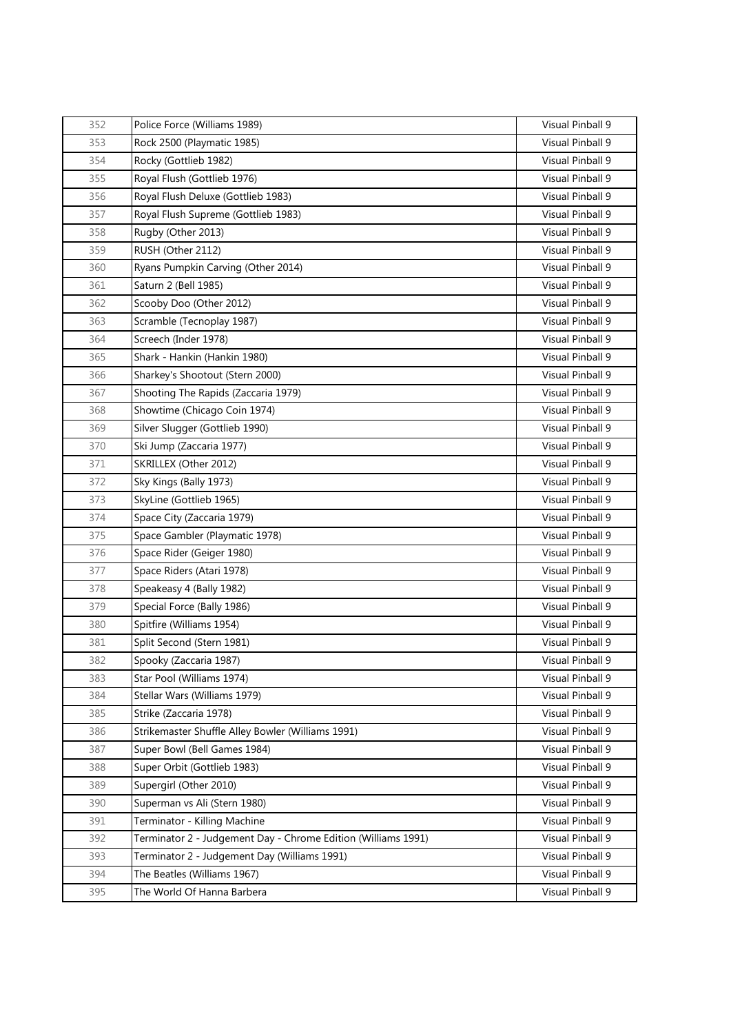| 352 | Police Force (Williams 1989)                                  | Visual Pinball 9        |
|-----|---------------------------------------------------------------|-------------------------|
| 353 | Rock 2500 (Playmatic 1985)                                    | Visual Pinball 9        |
| 354 | Rocky (Gottlieb 1982)                                         | Visual Pinball 9        |
| 355 | Royal Flush (Gottlieb 1976)                                   | Visual Pinball 9        |
| 356 | Royal Flush Deluxe (Gottlieb 1983)                            | Visual Pinball 9        |
| 357 | Royal Flush Supreme (Gottlieb 1983)                           | Visual Pinball 9        |
| 358 | Rugby (Other 2013)                                            | Visual Pinball 9        |
| 359 | RUSH (Other 2112)                                             | Visual Pinball 9        |
| 360 | Ryans Pumpkin Carving (Other 2014)                            | Visual Pinball 9        |
| 361 | Saturn 2 (Bell 1985)                                          | Visual Pinball 9        |
| 362 | Scooby Doo (Other 2012)                                       | Visual Pinball 9        |
| 363 | Scramble (Tecnoplay 1987)                                     | Visual Pinball 9        |
| 364 | Screech (Inder 1978)                                          | Visual Pinball 9        |
| 365 | Shark - Hankin (Hankin 1980)                                  | Visual Pinball 9        |
| 366 | Sharkey's Shootout (Stern 2000)                               | Visual Pinball 9        |
| 367 | Shooting The Rapids (Zaccaria 1979)                           | Visual Pinball 9        |
| 368 | Showtime (Chicago Coin 1974)                                  | Visual Pinball 9        |
| 369 | Silver Slugger (Gottlieb 1990)                                | Visual Pinball 9        |
| 370 | Ski Jump (Zaccaria 1977)                                      | Visual Pinball 9        |
| 371 | SKRILLEX (Other 2012)                                         | Visual Pinball 9        |
| 372 | Sky Kings (Bally 1973)                                        | Visual Pinball 9        |
| 373 | SkyLine (Gottlieb 1965)                                       | Visual Pinball 9        |
| 374 | Space City (Zaccaria 1979)                                    | Visual Pinball 9        |
| 375 | Space Gambler (Playmatic 1978)                                | Visual Pinball 9        |
| 376 | Space Rider (Geiger 1980)                                     | Visual Pinball 9        |
| 377 | Space Riders (Atari 1978)                                     | Visual Pinball 9        |
| 378 | Speakeasy 4 (Bally 1982)                                      | Visual Pinball 9        |
| 379 | Special Force (Bally 1986)                                    | Visual Pinball 9        |
| 380 | Spitfire (Williams 1954)                                      | <b>Visual Pinball 9</b> |
| 381 | Split Second (Stern 1981)                                     | Visual Pinball 9        |
| 382 | Spooky (Zaccaria 1987)                                        | <b>Visual Pinball 9</b> |
| 383 | Star Pool (Williams 1974)                                     | Visual Pinball 9        |
| 384 | Stellar Wars (Williams 1979)                                  | Visual Pinball 9        |
| 385 | Strike (Zaccaria 1978)                                        | Visual Pinball 9        |
| 386 | Strikemaster Shuffle Alley Bowler (Williams 1991)             | Visual Pinball 9        |
| 387 | Super Bowl (Bell Games 1984)                                  | Visual Pinball 9        |
| 388 | Super Orbit (Gottlieb 1983)                                   | Visual Pinball 9        |
| 389 | Supergirl (Other 2010)                                        | Visual Pinball 9        |
| 390 | Superman vs Ali (Stern 1980)                                  | Visual Pinball 9        |
| 391 | Terminator - Killing Machine                                  | Visual Pinball 9        |
| 392 | Terminator 2 - Judgement Day - Chrome Edition (Williams 1991) | Visual Pinball 9        |
| 393 | Terminator 2 - Judgement Day (Williams 1991)                  | Visual Pinball 9        |
| 394 | The Beatles (Williams 1967)                                   | Visual Pinball 9        |
| 395 | The World Of Hanna Barbera                                    | Visual Pinball 9        |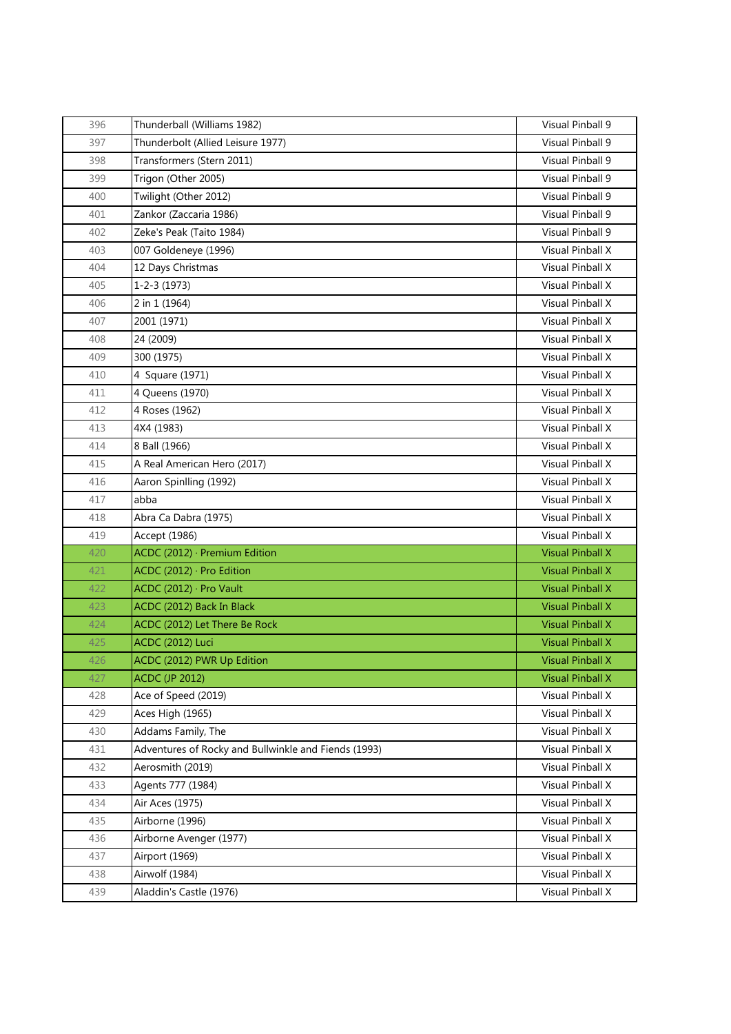| 396 | Thunderball (Williams 1982)                          | Visual Pinball 9        |
|-----|------------------------------------------------------|-------------------------|
| 397 | Thunderbolt (Allied Leisure 1977)                    | Visual Pinball 9        |
| 398 | Transformers (Stern 2011)                            | Visual Pinball 9        |
| 399 | Trigon (Other 2005)                                  | Visual Pinball 9        |
| 400 | Twilight (Other 2012)                                | Visual Pinball 9        |
| 401 | Zankor (Zaccaria 1986)                               | Visual Pinball 9        |
| 402 | Zeke's Peak (Taito 1984)                             | Visual Pinball 9        |
| 403 | 007 Goldeneye (1996)                                 | <b>Visual Pinball X</b> |
| 404 | 12 Days Christmas                                    | Visual Pinball X        |
| 405 | $1-2-3(1973)$                                        | <b>Visual Pinball X</b> |
| 406 | 2 in 1 (1964)                                        | <b>Visual Pinball X</b> |
| 407 | 2001 (1971)                                          | Visual Pinball X        |
| 408 | 24 (2009)                                            | <b>Visual Pinball X</b> |
| 409 | 300 (1975)                                           | <b>Visual Pinball X</b> |
| 410 | 4 Square (1971)                                      | <b>Visual Pinball X</b> |
| 411 | 4 Queens (1970)                                      | <b>Visual Pinball X</b> |
| 412 | 4 Roses (1962)                                       | <b>Visual Pinball X</b> |
| 413 | 4X4 (1983)                                           | <b>Visual Pinball X</b> |
| 414 | 8 Ball (1966)                                        | <b>Visual Pinball X</b> |
| 415 | A Real American Hero (2017)                          | <b>Visual Pinball X</b> |
| 416 | Aaron Spinlling (1992)                               | <b>Visual Pinball X</b> |
| 417 | abba                                                 | <b>Visual Pinball X</b> |
| 418 | Abra Ca Dabra (1975)                                 | Visual Pinball X        |
| 419 | Accept (1986)                                        | Visual Pinball X        |
| 420 | ACDC (2012) · Premium Edition                        | <b>Visual Pinball X</b> |
| 421 | ACDC (2012) · Pro Edition                            | <b>Visual Pinball X</b> |
| 422 | ACDC (2012) · Pro Vault                              | <b>Visual Pinball X</b> |
| 423 | ACDC (2012) Back In Black                            | <b>Visual Pinball X</b> |
| 424 | ACDC (2012) Let There Be Rock                        | <b>Visual Pinball X</b> |
| 425 | <b>ACDC</b> (2012) Luci                              | <b>Visual Pinball X</b> |
| 426 | ACDC (2012) PWR Up Edition                           | <b>Visual Pinball X</b> |
| 427 | <b>ACDC (JP 2012)</b>                                | <b>Visual Pinball X</b> |
| 428 | Ace of Speed (2019)                                  | Visual Pinball X        |
| 429 | Aces High (1965)                                     | Visual Pinball X        |
| 430 | Addams Family, The                                   | <b>Visual Pinball X</b> |
| 431 | Adventures of Rocky and Bullwinkle and Fiends (1993) | Visual Pinball X        |
| 432 | Aerosmith (2019)                                     | Visual Pinball X        |
| 433 | Agents 777 (1984)                                    | Visual Pinball X        |
| 434 | Air Aces (1975)                                      | Visual Pinball X        |
| 435 | Airborne (1996)                                      | Visual Pinball X        |
| 436 | Airborne Avenger (1977)                              | Visual Pinball X        |
| 437 | Airport (1969)                                       | <b>Visual Pinball X</b> |
| 438 | Airwolf (1984)                                       | Visual Pinball X        |
| 439 | Aladdin's Castle (1976)                              | Visual Pinball X        |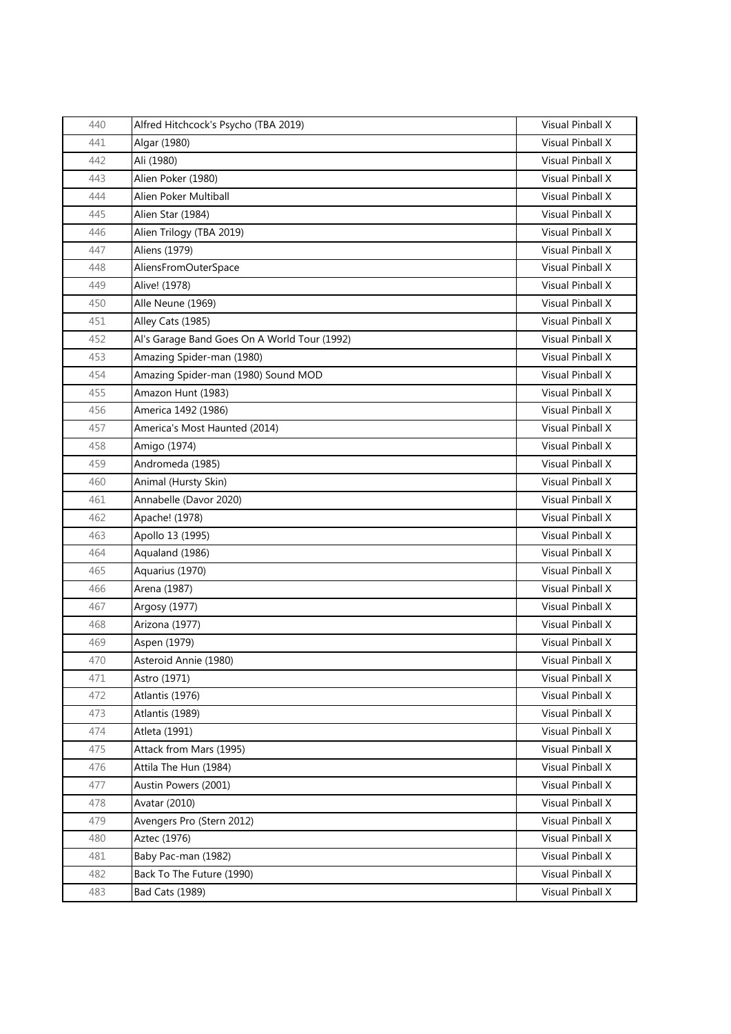| 440 | Alfred Hitchcock's Psycho (TBA 2019)         | Visual Pinball X        |
|-----|----------------------------------------------|-------------------------|
| 441 | Algar (1980)                                 | <b>Visual Pinball X</b> |
| 442 | Ali (1980)                                   | <b>Visual Pinball X</b> |
| 443 | Alien Poker (1980)                           | <b>Visual Pinball X</b> |
| 444 | Alien Poker Multiball                        | <b>Visual Pinball X</b> |
| 445 | Alien Star (1984)                            | <b>Visual Pinball X</b> |
| 446 | Alien Trilogy (TBA 2019)                     | <b>Visual Pinball X</b> |
| 447 | Aliens (1979)                                | <b>Visual Pinball X</b> |
| 448 | AliensFromOuterSpace                         | Visual Pinball X        |
| 449 | Alive! (1978)                                | <b>Visual Pinball X</b> |
| 450 | Alle Neune (1969)                            | <b>Visual Pinball X</b> |
| 451 | Alley Cats (1985)                            | <b>Visual Pinball X</b> |
| 452 | Al's Garage Band Goes On A World Tour (1992) | <b>Visual Pinball X</b> |
| 453 | Amazing Spider-man (1980)                    | Visual Pinball X        |
| 454 | Amazing Spider-man (1980) Sound MOD          | <b>Visual Pinball X</b> |
| 455 | Amazon Hunt (1983)                           | <b>Visual Pinball X</b> |
| 456 | America 1492 (1986)                          | <b>Visual Pinball X</b> |
| 457 | America's Most Haunted (2014)                | <b>Visual Pinball X</b> |
| 458 | Amigo (1974)                                 | <b>Visual Pinball X</b> |
| 459 | Andromeda (1985)                             | <b>Visual Pinball X</b> |
| 460 | Animal (Hursty Skin)                         | Visual Pinball X        |
| 461 | Annabelle (Davor 2020)                       | <b>Visual Pinball X</b> |
| 462 | Apache! (1978)                               | Visual Pinball X        |
| 463 | Apollo 13 (1995)                             | <b>Visual Pinball X</b> |
| 464 | Aqualand (1986)                              | <b>Visual Pinball X</b> |
| 465 | Aquarius (1970)                              | <b>Visual Pinball X</b> |
| 466 | Arena (1987)                                 | <b>Visual Pinball X</b> |
| 467 | Argosy (1977)                                | Visual Pinball X        |
| 468 | Arizona (1977)                               | Visual Pinball X        |
| 469 | Aspen (1979)                                 | <b>Visual Pinball X</b> |
| 470 | Asteroid Annie (1980)                        | Visual Pinball X        |
| 471 | Astro (1971)                                 | Visual Pinball X        |
| 472 | Atlantis (1976)                              | <b>Visual Pinball X</b> |
| 473 | Atlantis (1989)                              | Visual Pinball X        |
| 474 | Atleta (1991)                                | <b>Visual Pinball X</b> |
| 475 | Attack from Mars (1995)                      | Visual Pinball X        |
| 476 | Attila The Hun (1984)                        | Visual Pinball X        |
| 477 | Austin Powers (2001)                         | Visual Pinball X        |
| 478 | Avatar (2010)                                | Visual Pinball X        |
| 479 | Avengers Pro (Stern 2012)                    | Visual Pinball X        |
| 480 | Aztec (1976)                                 | Visual Pinball X        |
| 481 | Baby Pac-man (1982)                          | Visual Pinball X        |
| 482 | Back To The Future (1990)                    | Visual Pinball X        |
| 483 | Bad Cats (1989)                              | Visual Pinball X        |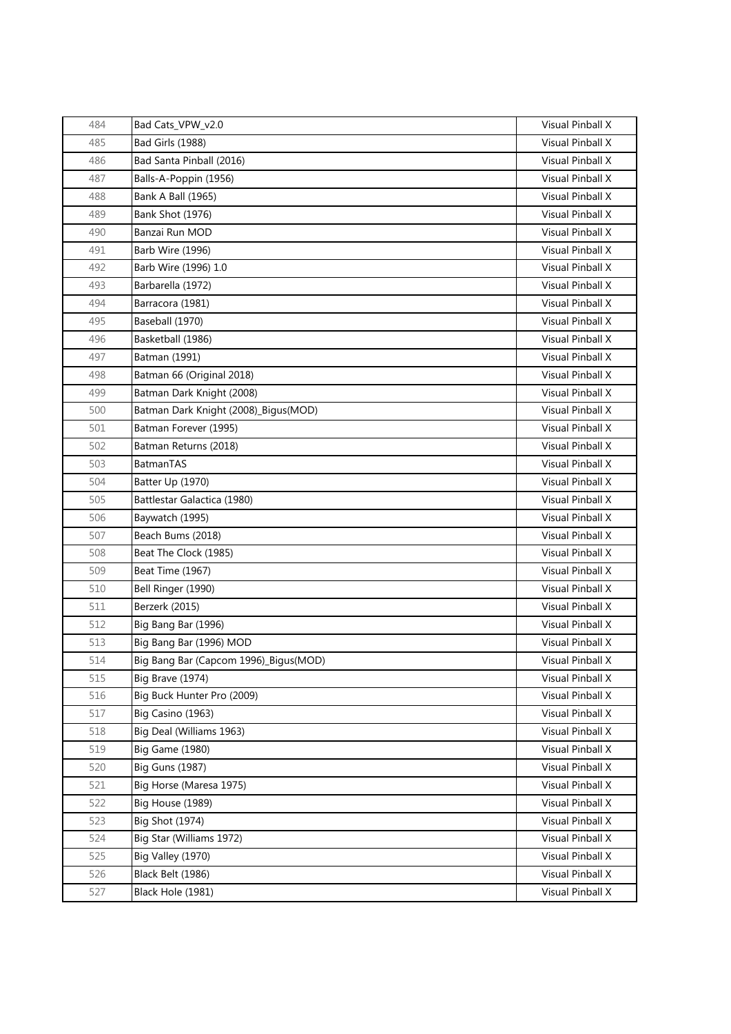| 484 | Bad Cats_VPW_v2.0                     | Visual Pinball X        |
|-----|---------------------------------------|-------------------------|
| 485 | <b>Bad Girls (1988)</b>               | <b>Visual Pinball X</b> |
| 486 | Bad Santa Pinball (2016)              | <b>Visual Pinball X</b> |
| 487 | Balls-A-Poppin (1956)                 | <b>Visual Pinball X</b> |
| 488 | Bank A Ball (1965)                    | <b>Visual Pinball X</b> |
| 489 | <b>Bank Shot (1976)</b>               | <b>Visual Pinball X</b> |
| 490 | Banzai Run MOD                        | <b>Visual Pinball X</b> |
| 491 | Barb Wire (1996)                      | <b>Visual Pinball X</b> |
| 492 | Barb Wire (1996) 1.0                  | Visual Pinball X        |
| 493 | Barbarella (1972)                     | <b>Visual Pinball X</b> |
| 494 | Barracora (1981)                      | <b>Visual Pinball X</b> |
| 495 | Baseball (1970)                       | <b>Visual Pinball X</b> |
| 496 | Basketball (1986)                     | Visual Pinball X        |
| 497 | Batman (1991)                         | Visual Pinball X        |
| 498 | Batman 66 (Original 2018)             | <b>Visual Pinball X</b> |
| 499 | Batman Dark Knight (2008)             | <b>Visual Pinball X</b> |
| 500 | Batman Dark Knight (2008)_Bigus(MOD)  | Visual Pinball X        |
| 501 | Batman Forever (1995)                 | Visual Pinball X        |
| 502 | Batman Returns (2018)                 | <b>Visual Pinball X</b> |
| 503 | BatmanTAS                             | <b>Visual Pinball X</b> |
| 504 | Batter Up (1970)                      | <b>Visual Pinball X</b> |
| 505 | Battlestar Galactica (1980)           | <b>Visual Pinball X</b> |
| 506 | Baywatch (1995)                       | Visual Pinball X        |
| 507 | Beach Bums (2018)                     | <b>Visual Pinball X</b> |
| 508 | Beat The Clock (1985)                 | Visual Pinball X        |
| 509 | Beat Time (1967)                      | <b>Visual Pinball X</b> |
| 510 | Bell Ringer (1990)                    | <b>Visual Pinball X</b> |
| 511 | Berzerk (2015)                        | <b>Visual Pinball X</b> |
| 512 | Big Bang Bar (1996)                   | Visual Pinball X        |
| 513 | Big Bang Bar (1996) MOD               | Visual Pinball X        |
| 514 | Big Bang Bar (Capcom 1996)_Bigus(MOD) | Visual Pinball X        |
| 515 | Big Brave (1974)                      | Visual Pinball X        |
| 516 | Big Buck Hunter Pro (2009)            | Visual Pinball X        |
| 517 | Big Casino (1963)                     | Visual Pinball X        |
| 518 | Big Deal (Williams 1963)              | Visual Pinball X        |
| 519 | <b>Big Game (1980)</b>                | Visual Pinball X        |
| 520 | <b>Big Guns (1987)</b>                | <b>Visual Pinball X</b> |
| 521 | Big Horse (Maresa 1975)               | Visual Pinball X        |
| 522 | Big House (1989)                      | Visual Pinball X        |
| 523 | Big Shot (1974)                       | Visual Pinball X        |
| 524 | Big Star (Williams 1972)              | Visual Pinball X        |
| 525 | Big Valley (1970)                     | Visual Pinball X        |
| 526 | Black Belt (1986)                     | Visual Pinball X        |
| 527 | Black Hole (1981)                     | Visual Pinball X        |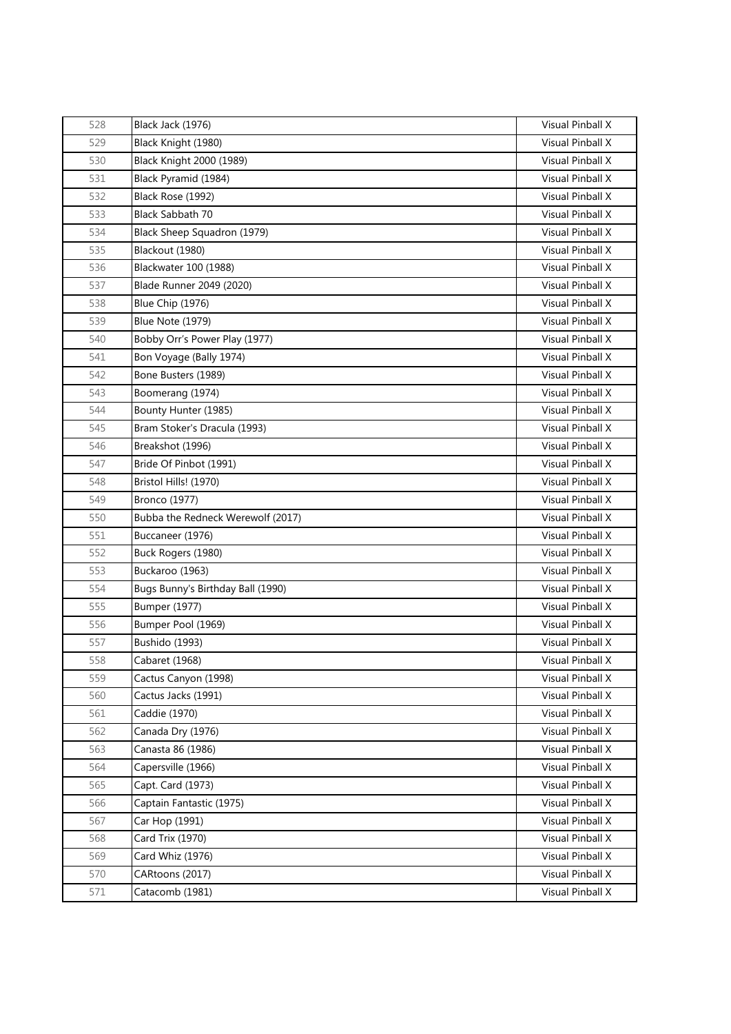| 528 | Black Jack (1976)                 | Visual Pinball X        |
|-----|-----------------------------------|-------------------------|
| 529 | Black Knight (1980)               | <b>Visual Pinball X</b> |
| 530 | Black Knight 2000 (1989)          | <b>Visual Pinball X</b> |
| 531 | Black Pyramid (1984)              | Visual Pinball X        |
| 532 | Black Rose (1992)                 | <b>Visual Pinball X</b> |
| 533 | <b>Black Sabbath 70</b>           | <b>Visual Pinball X</b> |
| 534 | Black Sheep Squadron (1979)       | <b>Visual Pinball X</b> |
| 535 | Blackout (1980)                   | <b>Visual Pinball X</b> |
| 536 | Blackwater 100 (1988)             | Visual Pinball X        |
| 537 | Blade Runner 2049 (2020)          | <b>Visual Pinball X</b> |
| 538 | Blue Chip (1976)                  | Visual Pinball X        |
| 539 | Blue Note (1979)                  | <b>Visual Pinball X</b> |
| 540 | Bobby Orr's Power Play (1977)     | Visual Pinball X        |
| 541 | Bon Voyage (Bally 1974)           | <b>Visual Pinball X</b> |
| 542 | Bone Busters (1989)               | <b>Visual Pinball X</b> |
| 543 | Boomerang (1974)                  | <b>Visual Pinball X</b> |
| 544 | Bounty Hunter (1985)              | <b>Visual Pinball X</b> |
| 545 | Bram Stoker's Dracula (1993)      | <b>Visual Pinball X</b> |
| 546 | Breakshot (1996)                  | <b>Visual Pinball X</b> |
| 547 | Bride Of Pinbot (1991)            | <b>Visual Pinball X</b> |
| 548 | Bristol Hills! (1970)             | Visual Pinball X        |
| 549 | <b>Bronco</b> (1977)              | <b>Visual Pinball X</b> |
| 550 | Bubba the Redneck Werewolf (2017) | Visual Pinball X        |
| 551 | Buccaneer (1976)                  | Visual Pinball X        |
| 552 | Buck Rogers (1980)                | <b>Visual Pinball X</b> |
| 553 | Buckaroo (1963)                   | Visual Pinball X        |
| 554 | Bugs Bunny's Birthday Ball (1990) | <b>Visual Pinball X</b> |
| 555 | <b>Bumper (1977)</b>              | <b>Visual Pinball X</b> |
| 556 | Bumper Pool (1969)                | <b>Visual Pinball X</b> |
| 557 | <b>Bushido</b> (1993)             | <b>Visual Pinball X</b> |
| 558 | Cabaret (1968)                    | Visual Pinball X        |
| 559 | Cactus Canyon (1998)              | Visual Pinball X        |
| 560 | Cactus Jacks (1991)               | Visual Pinball X        |
| 561 | Caddie (1970)                     | Visual Pinball X        |
| 562 | Canada Dry (1976)                 | <b>Visual Pinball X</b> |
| 563 | Canasta 86 (1986)                 | Visual Pinball X        |
| 564 | Capersville (1966)                | <b>Visual Pinball X</b> |
| 565 | Capt. Card (1973)                 | Visual Pinball X        |
| 566 | Captain Fantastic (1975)          | Visual Pinball X        |
| 567 | Car Hop (1991)                    | Visual Pinball X        |
| 568 | Card Trix (1970)                  | Visual Pinball X        |
| 569 | Card Whiz (1976)                  | Visual Pinball X        |
| 570 | CARtoons (2017)                   | Visual Pinball X        |
| 571 | Catacomb (1981)                   | Visual Pinball X        |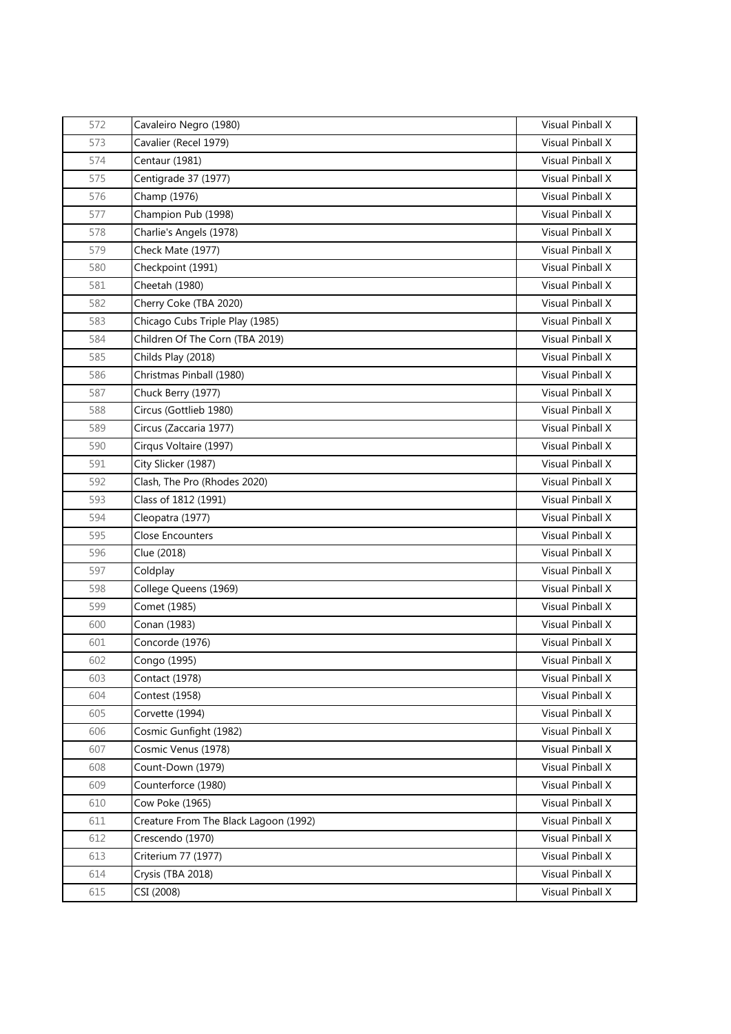| 572 | Cavaleiro Negro (1980)                | Visual Pinball X        |
|-----|---------------------------------------|-------------------------|
| 573 | Cavalier (Recel 1979)                 | <b>Visual Pinball X</b> |
| 574 | Centaur (1981)                        | <b>Visual Pinball X</b> |
| 575 | Centigrade 37 (1977)                  | Visual Pinball X        |
| 576 | Champ (1976)                          | <b>Visual Pinball X</b> |
| 577 | Champion Pub (1998)                   | <b>Visual Pinball X</b> |
| 578 | Charlie's Angels (1978)               | <b>Visual Pinball X</b> |
| 579 | Check Mate (1977)                     | <b>Visual Pinball X</b> |
| 580 | Checkpoint (1991)                     | <b>Visual Pinball X</b> |
| 581 | Cheetah (1980)                        | <b>Visual Pinball X</b> |
| 582 | Cherry Coke (TBA 2020)                | Visual Pinball X        |
| 583 | Chicago Cubs Triple Play (1985)       | <b>Visual Pinball X</b> |
| 584 | Children Of The Corn (TBA 2019)       | Visual Pinball X        |
| 585 | Childs Play (2018)                    | <b>Visual Pinball X</b> |
| 586 | Christmas Pinball (1980)              | <b>Visual Pinball X</b> |
| 587 | Chuck Berry (1977)                    | Visual Pinball X        |
| 588 | Circus (Gottlieb 1980)                | <b>Visual Pinball X</b> |
| 589 | Circus (Zaccaria 1977)                | <b>Visual Pinball X</b> |
| 590 | Cirqus Voltaire (1997)                | <b>Visual Pinball X</b> |
| 591 | City Slicker (1987)                   | <b>Visual Pinball X</b> |
| 592 | Clash, The Pro (Rhodes 2020)          | <b>Visual Pinball X</b> |
| 593 | Class of 1812 (1991)                  | <b>Visual Pinball X</b> |
| 594 | Cleopatra (1977)                      | Visual Pinball X        |
| 595 | <b>Close Encounters</b>               | <b>Visual Pinball X</b> |
| 596 | Clue (2018)                           | <b>Visual Pinball X</b> |
| 597 | Coldplay                              | Visual Pinball X        |
| 598 | College Queens (1969)                 | <b>Visual Pinball X</b> |
| 599 | Comet (1985)                          | <b>Visual Pinball X</b> |
| 600 | Conan (1983)                          | <b>Visual Pinball X</b> |
| 601 | Concorde (1976)                       | <b>Visual Pinball X</b> |
| 602 | Congo (1995)                          | Visual Pinball X        |
| 603 | Contact (1978)                        | Visual Pinball X        |
| 604 | Contest (1958)                        | Visual Pinball X        |
| 605 | Corvette (1994)                       | Visual Pinball X        |
| 606 | Cosmic Gunfight (1982)                | Visual Pinball X        |
| 607 | Cosmic Venus (1978)                   | Visual Pinball X        |
| 608 | Count-Down (1979)                     | <b>Visual Pinball X</b> |
| 609 | Counterforce (1980)                   | Visual Pinball X        |
| 610 | Cow Poke (1965)                       | Visual Pinball X        |
| 611 | Creature From The Black Lagoon (1992) | Visual Pinball X        |
| 612 | Crescendo (1970)                      | Visual Pinball X        |
| 613 | Criterium 77 (1977)                   | <b>Visual Pinball X</b> |
| 614 | Crysis (TBA 2018)                     | Visual Pinball X        |
| 615 | CSI (2008)                            | Visual Pinball X        |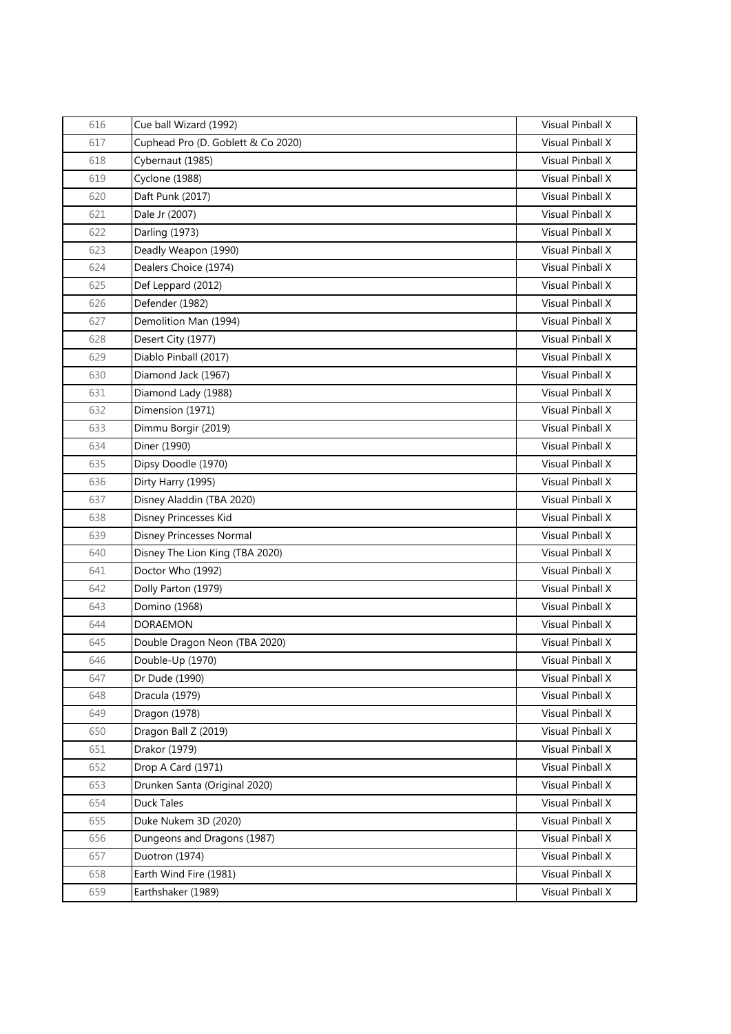| 616 | Cue ball Wizard (1992)             | Visual Pinball X        |
|-----|------------------------------------|-------------------------|
| 617 | Cuphead Pro (D. Goblett & Co 2020) | <b>Visual Pinball X</b> |
| 618 | Cybernaut (1985)                   | <b>Visual Pinball X</b> |
| 619 | Cyclone (1988)                     | Visual Pinball X        |
| 620 | Daft Punk (2017)                   | <b>Visual Pinball X</b> |
| 621 | Dale Jr (2007)                     | <b>Visual Pinball X</b> |
| 622 | Darling (1973)                     | <b>Visual Pinball X</b> |
| 623 | Deadly Weapon (1990)               | <b>Visual Pinball X</b> |
| 624 | Dealers Choice (1974)              | <b>Visual Pinball X</b> |
| 625 | Def Leppard (2012)                 | <b>Visual Pinball X</b> |
| 626 | Defender (1982)                    | Visual Pinball X        |
| 627 | Demolition Man (1994)              | <b>Visual Pinball X</b> |
| 628 | Desert City (1977)                 | Visual Pinball X        |
| 629 | Diablo Pinball (2017)              | <b>Visual Pinball X</b> |
| 630 | Diamond Jack (1967)                | <b>Visual Pinball X</b> |
| 631 | Diamond Lady (1988)                | <b>Visual Pinball X</b> |
| 632 | Dimension (1971)                   | <b>Visual Pinball X</b> |
| 633 | Dimmu Borgir (2019)                | Visual Pinball X        |
| 634 | Diner (1990)                       | <b>Visual Pinball X</b> |
| 635 | Dipsy Doodle (1970)                | <b>Visual Pinball X</b> |
| 636 | Dirty Harry (1995)                 | <b>Visual Pinball X</b> |
| 637 | Disney Aladdin (TBA 2020)          | <b>Visual Pinball X</b> |
| 638 | Disney Princesses Kid              | Visual Pinball X        |
| 639 | Disney Princesses Normal           | <b>Visual Pinball X</b> |
| 640 | Disney The Lion King (TBA 2020)    | <b>Visual Pinball X</b> |
| 641 | Doctor Who (1992)                  | Visual Pinball X        |
| 642 | Dolly Parton (1979)                | <b>Visual Pinball X</b> |
| 643 | Domino (1968)                      | <b>Visual Pinball X</b> |
| 644 | <b>DORAEMON</b>                    | <b>Visual Pinball X</b> |
| 645 | Double Dragon Neon (TBA 2020)      | <b>Visual Pinball X</b> |
| 646 | Double-Up (1970)                   | Visual Pinball X        |
| 647 | Dr Dude (1990)                     | Visual Pinball X        |
| 648 | Dracula (1979)                     | Visual Pinball X        |
| 649 | Dragon (1978)                      | Visual Pinball X        |
| 650 | Dragon Ball Z (2019)               | Visual Pinball X        |
| 651 | Drakor (1979)                      | Visual Pinball X        |
| 652 | Drop A Card (1971)                 | Visual Pinball X        |
| 653 | Drunken Santa (Original 2020)      | Visual Pinball X        |
| 654 | Duck Tales                         | Visual Pinball X        |
| 655 | Duke Nukem 3D (2020)               | Visual Pinball X        |
| 656 | Dungeons and Dragons (1987)        | Visual Pinball X        |
| 657 | Duotron (1974)                     | Visual Pinball X        |
| 658 | Earth Wind Fire (1981)             | Visual Pinball X        |
| 659 | Earthshaker (1989)                 | Visual Pinball X        |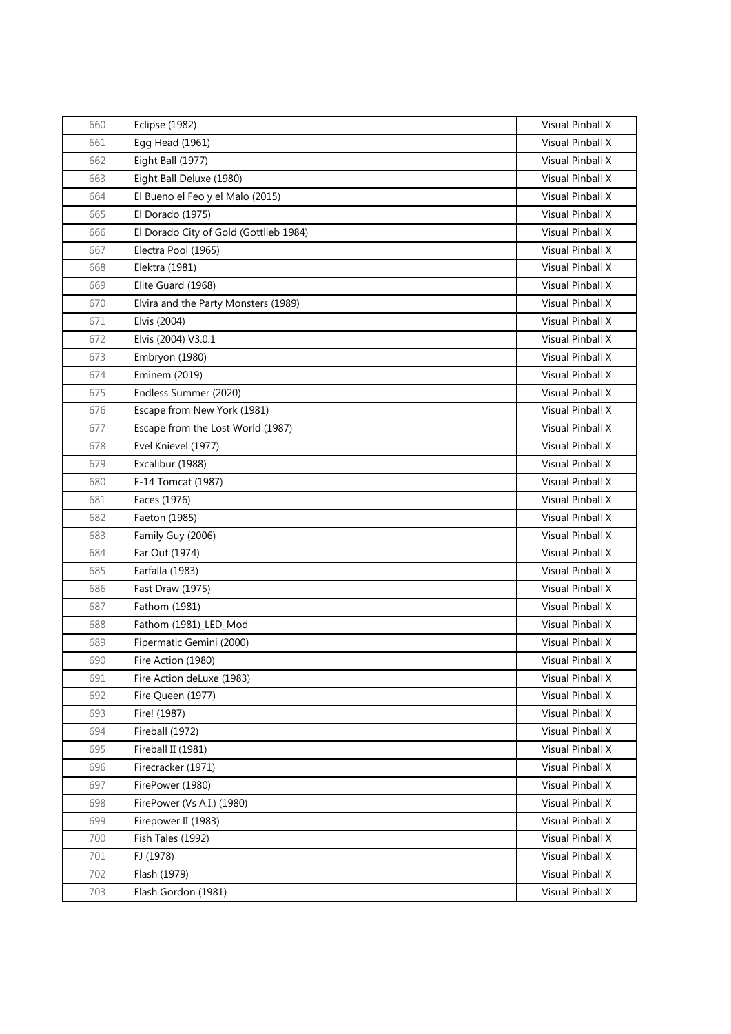| 660 | <b>Eclipse (1982)</b>                  | Visual Pinball X        |
|-----|----------------------------------------|-------------------------|
| 661 | Egg Head (1961)                        | <b>Visual Pinball X</b> |
| 662 | Eight Ball (1977)                      | <b>Visual Pinball X</b> |
| 663 | Eight Ball Deluxe (1980)               | <b>Visual Pinball X</b> |
| 664 | El Bueno el Feo y el Malo (2015)       | <b>Visual Pinball X</b> |
| 665 | El Dorado (1975)                       | <b>Visual Pinball X</b> |
| 666 | El Dorado City of Gold (Gottlieb 1984) | <b>Visual Pinball X</b> |
| 667 | Electra Pool (1965)                    | <b>Visual Pinball X</b> |
| 668 | Elektra (1981)                         | Visual Pinball X        |
| 669 | Elite Guard (1968)                     | <b>Visual Pinball X</b> |
| 670 | Elvira and the Party Monsters (1989)   | Visual Pinball X        |
| 671 | Elvis (2004)                           | <b>Visual Pinball X</b> |
| 672 | Elvis (2004) V3.0.1                    | Visual Pinball X        |
| 673 | Embryon (1980)                         | <b>Visual Pinball X</b> |
| 674 | Eminem (2019)                          | <b>Visual Pinball X</b> |
| 675 | Endless Summer (2020)                  | <b>Visual Pinball X</b> |
| 676 | Escape from New York (1981)            | <b>Visual Pinball X</b> |
| 677 | Escape from the Lost World (1987)      | Visual Pinball X        |
| 678 | Evel Knievel (1977)                    | <b>Visual Pinball X</b> |
| 679 | Excalibur (1988)                       | <b>Visual Pinball X</b> |
| 680 | F-14 Tomcat (1987)                     | <b>Visual Pinball X</b> |
| 681 | Faces (1976)                           | <b>Visual Pinball X</b> |
| 682 | Faeton (1985)                          | Visual Pinball X        |
| 683 | Family Guy (2006)                      | <b>Visual Pinball X</b> |
| 684 | Far Out (1974)                         | <b>Visual Pinball X</b> |
| 685 | Farfalla (1983)                        | Visual Pinball X        |
| 686 | Fast Draw (1975)                       | <b>Visual Pinball X</b> |
| 687 | Fathom (1981)                          | <b>Visual Pinball X</b> |
| 688 | Fathom (1981)_LED_Mod                  | <b>Visual Pinball X</b> |
| 689 | Fipermatic Gemini (2000)               | <b>Visual Pinball X</b> |
| 690 | Fire Action (1980)                     | Visual Pinball X        |
| 691 | Fire Action deLuxe (1983)              | Visual Pinball X        |
| 692 | Fire Queen (1977)                      | Visual Pinball X        |
| 693 | Fire! (1987)                           | Visual Pinball X        |
| 694 | Fireball (1972)                        | <b>Visual Pinball X</b> |
| 695 | Fireball II (1981)                     | Visual Pinball X        |
| 696 | Firecracker (1971)                     | Visual Pinball X        |
| 697 | FirePower (1980)                       | Visual Pinball X        |
| 698 | FirePower (Vs A.I.) (1980)             | Visual Pinball X        |
| 699 | Firepower II (1983)                    | Visual Pinball X        |
| 700 | Fish Tales (1992)                      | Visual Pinball X        |
| 701 | FJ (1978)                              | Visual Pinball X        |
| 702 | Flash (1979)                           | Visual Pinball X        |
| 703 | Flash Gordon (1981)                    | Visual Pinball X        |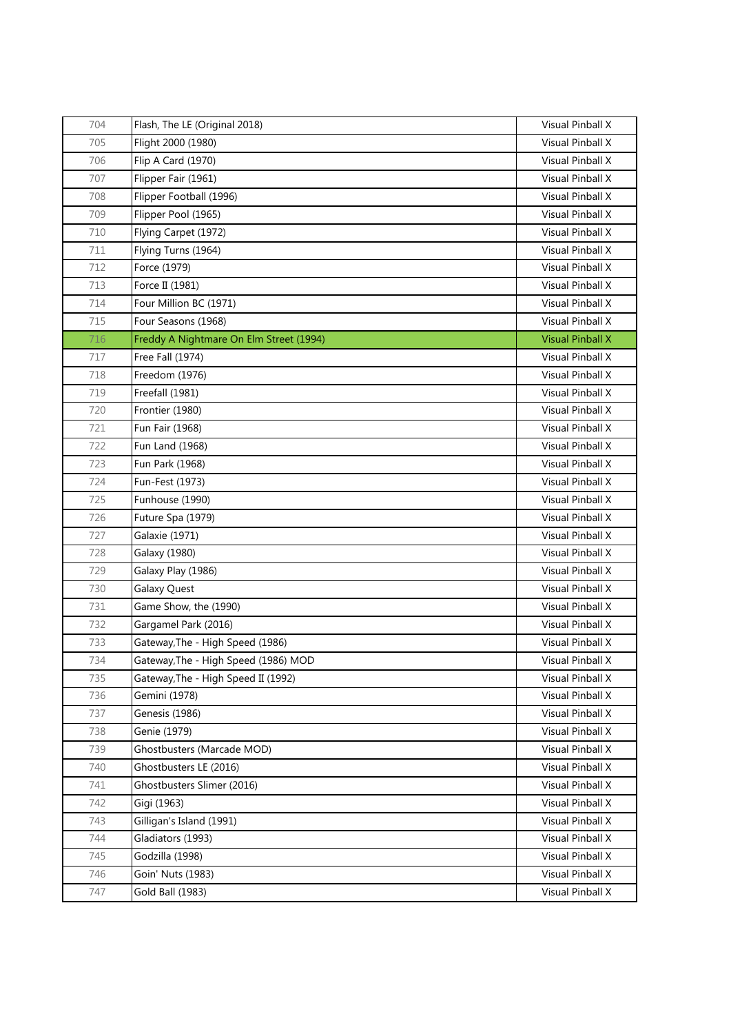| 704 | Flash, The LE (Original 2018)           | Visual Pinball X        |
|-----|-----------------------------------------|-------------------------|
| 705 | Flight 2000 (1980)                      | <b>Visual Pinball X</b> |
| 706 | Flip A Card (1970)                      | <b>Visual Pinball X</b> |
| 707 | Flipper Fair (1961)                     | <b>Visual Pinball X</b> |
| 708 | Flipper Football (1996)                 | <b>Visual Pinball X</b> |
| 709 | Flipper Pool (1965)                     | Visual Pinball X        |
| 710 | Flying Carpet (1972)                    | <b>Visual Pinball X</b> |
| 711 | Flying Turns (1964)                     | <b>Visual Pinball X</b> |
| 712 | Force (1979)                            | Visual Pinball X        |
| 713 | Force II (1981)                         | <b>Visual Pinball X</b> |
| 714 | Four Million BC (1971)                  | <b>Visual Pinball X</b> |
| 715 | Four Seasons (1968)                     | <b>Visual Pinball X</b> |
| 716 | Freddy A Nightmare On Elm Street (1994) | <b>Visual Pinball X</b> |
| 717 | Free Fall (1974)                        | <b>Visual Pinball X</b> |
| 718 | Freedom (1976)                          | <b>Visual Pinball X</b> |
| 719 | Freefall (1981)                         | Visual Pinball X        |
| 720 | Frontier (1980)                         | <b>Visual Pinball X</b> |
| 721 | Fun Fair (1968)                         | <b>Visual Pinball X</b> |
| 722 | Fun Land (1968)                         | <b>Visual Pinball X</b> |
| 723 | Fun Park (1968)                         | <b>Visual Pinball X</b> |
| 724 | Fun-Fest (1973)                         | Visual Pinball X        |
| 725 | Funhouse (1990)                         | <b>Visual Pinball X</b> |
| 726 | Future Spa (1979)                       | Visual Pinball X        |
| 727 | Galaxie (1971)                          | Visual Pinball X        |
| 728 | Galaxy (1980)                           | Visual Pinball X        |
| 729 | Galaxy Play (1986)                      | <b>Visual Pinball X</b> |
| 730 | Galaxy Quest                            | <b>Visual Pinball X</b> |
| 731 | Game Show, the (1990)                   | <b>Visual Pinball X</b> |
| 732 | Gargamel Park (2016)                    | Visual Pinball X        |
| 733 | Gateway, The - High Speed (1986)        | <b>Visual Pinball X</b> |
| 734 | Gateway, The - High Speed (1986) MOD    | Visual Pinball X        |
| 735 | Gateway, The - High Speed II (1992)     | Visual Pinball X        |
| 736 | Gemini (1978)                           | Visual Pinball X        |
| 737 | Genesis (1986)                          | Visual Pinball X        |
| 738 | Genie (1979)                            | <b>Visual Pinball X</b> |
| 739 | Ghostbusters (Marcade MOD)              | Visual Pinball X        |
| 740 | Ghostbusters LE (2016)                  | Visual Pinball X        |
| 741 | Ghostbusters Slimer (2016)              | Visual Pinball X        |
| 742 | Gigi (1963)                             | Visual Pinball X        |
| 743 | Gilligan's Island (1991)                | <b>Visual Pinball X</b> |
| 744 | Gladiators (1993)                       | Visual Pinball X        |
| 745 | Godzilla (1998)                         | Visual Pinball X        |
| 746 | Goin' Nuts (1983)                       | Visual Pinball X        |
| 747 | Gold Ball (1983)                        | Visual Pinball X        |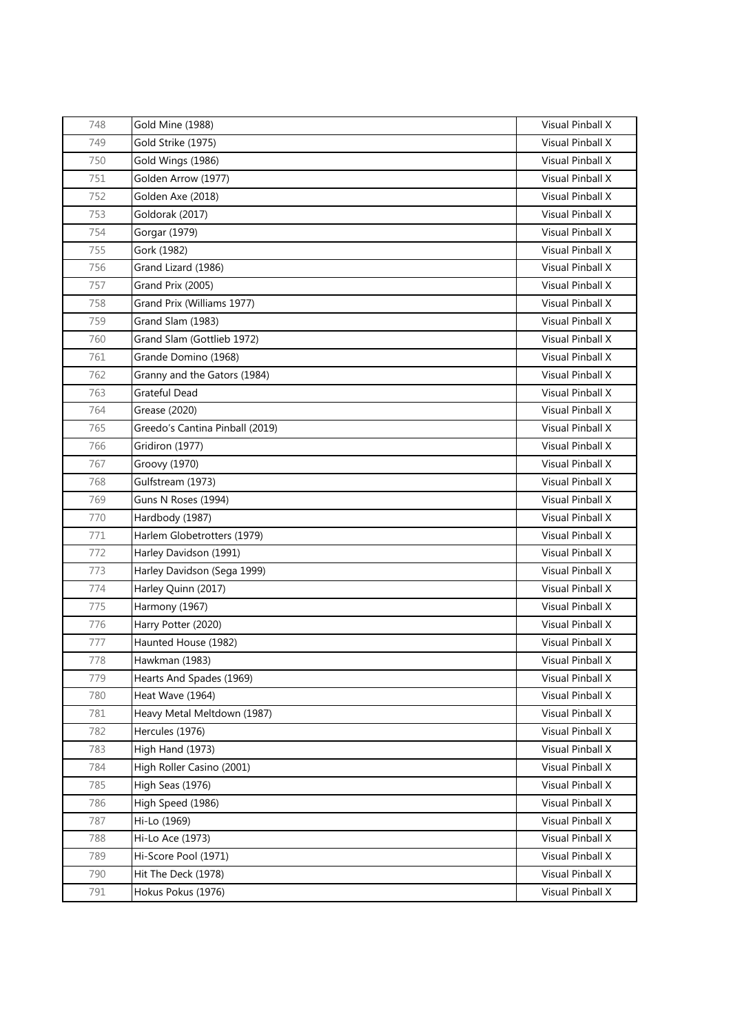| 748 | Gold Mine (1988)                | Visual Pinball X        |
|-----|---------------------------------|-------------------------|
| 749 | Gold Strike (1975)              | <b>Visual Pinball X</b> |
| 750 | Gold Wings (1986)               | <b>Visual Pinball X</b> |
| 751 | Golden Arrow (1977)             | <b>Visual Pinball X</b> |
| 752 | Golden Axe (2018)               | <b>Visual Pinball X</b> |
| 753 | Goldorak (2017)                 | <b>Visual Pinball X</b> |
| 754 | Gorgar (1979)                   | <b>Visual Pinball X</b> |
| 755 | Gork (1982)                     | <b>Visual Pinball X</b> |
| 756 | Grand Lizard (1986)             | Visual Pinball X        |
| 757 | Grand Prix (2005)               | <b>Visual Pinball X</b> |
| 758 | Grand Prix (Williams 1977)      | Visual Pinball X        |
| 759 | Grand Slam (1983)               | <b>Visual Pinball X</b> |
| 760 | Grand Slam (Gottlieb 1972)      | Visual Pinball X        |
| 761 | Grande Domino (1968)            | <b>Visual Pinball X</b> |
| 762 | Granny and the Gators (1984)    | <b>Visual Pinball X</b> |
| 763 | Grateful Dead                   | Visual Pinball X        |
| 764 | Grease (2020)                   | <b>Visual Pinball X</b> |
| 765 | Greedo's Cantina Pinball (2019) | Visual Pinball X        |
| 766 | Gridiron (1977)                 | <b>Visual Pinball X</b> |
| 767 | Groovy (1970)                   | <b>Visual Pinball X</b> |
| 768 | Gulfstream (1973)               | <b>Visual Pinball X</b> |
| 769 | Guns N Roses (1994)             | <b>Visual Pinball X</b> |
| 770 | Hardbody (1987)                 | Visual Pinball X        |
| 771 | Harlem Globetrotters (1979)     | <b>Visual Pinball X</b> |
| 772 | Harley Davidson (1991)          | <b>Visual Pinball X</b> |
| 773 | Harley Davidson (Sega 1999)     | Visual Pinball X        |
| 774 | Harley Quinn (2017)             | <b>Visual Pinball X</b> |
| 775 | Harmony (1967)                  | Visual Pinball X        |
| 776 | Harry Potter (2020)             | <b>Visual Pinball X</b> |
| 777 | Haunted House (1982)            | <b>Visual Pinball X</b> |
| 778 | Hawkman (1983)                  | Visual Pinball X        |
| 779 | Hearts And Spades (1969)        | Visual Pinball X        |
| 780 | Heat Wave (1964)                | Visual Pinball X        |
| 781 | Heavy Metal Meltdown (1987)     | Visual Pinball X        |
| 782 | Hercules (1976)                 | Visual Pinball X        |
| 783 | High Hand (1973)                | Visual Pinball X        |
| 784 | High Roller Casino (2001)       | Visual Pinball X        |
| 785 | High Seas (1976)                | Visual Pinball X        |
| 786 | High Speed (1986)               | Visual Pinball X        |
| 787 | Hi-Lo (1969)                    | Visual Pinball X        |
| 788 | Hi-Lo Ace (1973)                | Visual Pinball X        |
| 789 | Hi-Score Pool (1971)            | Visual Pinball X        |
| 790 | Hit The Deck (1978)             | Visual Pinball X        |
| 791 | Hokus Pokus (1976)              | Visual Pinball X        |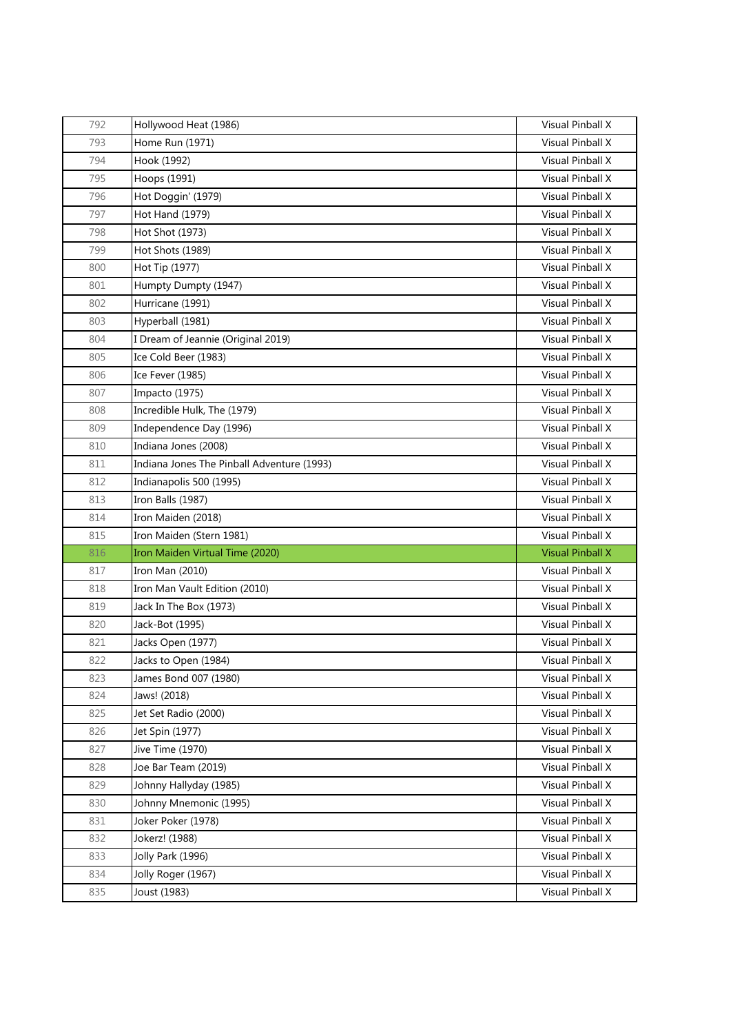| 792 | Hollywood Heat (1986)                      | Visual Pinball X        |
|-----|--------------------------------------------|-------------------------|
| 793 | Home Run (1971)                            | <b>Visual Pinball X</b> |
| 794 | Hook (1992)                                | <b>Visual Pinball X</b> |
| 795 | Hoops (1991)                               | Visual Pinball X        |
| 796 | Hot Doggin' (1979)                         | <b>Visual Pinball X</b> |
| 797 | Hot Hand (1979)                            | <b>Visual Pinball X</b> |
| 798 | Hot Shot (1973)                            | <b>Visual Pinball X</b> |
| 799 | Hot Shots (1989)                           | <b>Visual Pinball X</b> |
| 800 | Hot Tip (1977)                             | Visual Pinball X        |
| 801 | Humpty Dumpty (1947)                       | <b>Visual Pinball X</b> |
| 802 | Hurricane (1991)                           | <b>Visual Pinball X</b> |
| 803 | Hyperball (1981)                           | Visual Pinball X        |
| 804 | I Dream of Jeannie (Original 2019)         | <b>Visual Pinball X</b> |
| 805 | Ice Cold Beer (1983)                       | <b>Visual Pinball X</b> |
| 806 | Ice Fever (1985)                           | <b>Visual Pinball X</b> |
| 807 | Impacto (1975)                             | Visual Pinball X        |
| 808 | Incredible Hulk, The (1979)                | <b>Visual Pinball X</b> |
| 809 | Independence Day (1996)                    | <b>Visual Pinball X</b> |
| 810 | Indiana Jones (2008)                       | <b>Visual Pinball X</b> |
| 811 | Indiana Jones The Pinball Adventure (1993) | <b>Visual Pinball X</b> |
| 812 | Indianapolis 500 (1995)                    | <b>Visual Pinball X</b> |
| 813 | Iron Balls (1987)                          | <b>Visual Pinball X</b> |
| 814 | Iron Maiden (2018)                         | Visual Pinball X        |
| 815 | Iron Maiden (Stern 1981)                   | Visual Pinball X        |
| 816 | Iron Maiden Virtual Time (2020)            | <b>Visual Pinball X</b> |
| 817 | Iron Man (2010)                            | <b>Visual Pinball X</b> |
| 818 | Iron Man Vault Edition (2010)              | <b>Visual Pinball X</b> |
| 819 | Jack In The Box (1973)                     | <b>Visual Pinball X</b> |
| 820 | Jack-Bot (1995)                            | <b>Visual Pinball X</b> |
| 821 | Jacks Open (1977)                          | <b>Visual Pinball X</b> |
| 822 | Jacks to Open (1984)                       | Visual Pinball X        |
| 823 | James Bond 007 (1980)                      | Visual Pinball X        |
| 824 | Jaws! (2018)                               | <b>Visual Pinball X</b> |
| 825 | Jet Set Radio (2000)                       | Visual Pinball X        |
| 826 | Jet Spin (1977)                            | <b>Visual Pinball X</b> |
| 827 | Jive Time (1970)                           | Visual Pinball X        |
| 828 | Joe Bar Team (2019)                        | Visual Pinball X        |
| 829 | Johnny Hallyday (1985)                     | Visual Pinball X        |
| 830 | Johnny Mnemonic (1995)                     | Visual Pinball X        |
| 831 | Joker Poker (1978)                         | Visual Pinball X        |
| 832 | Jokerz! (1988)                             | Visual Pinball X        |
| 833 | Jolly Park (1996)                          | <b>Visual Pinball X</b> |
| 834 | Jolly Roger (1967)                         | Visual Pinball X        |
| 835 | Joust (1983)                               | Visual Pinball X        |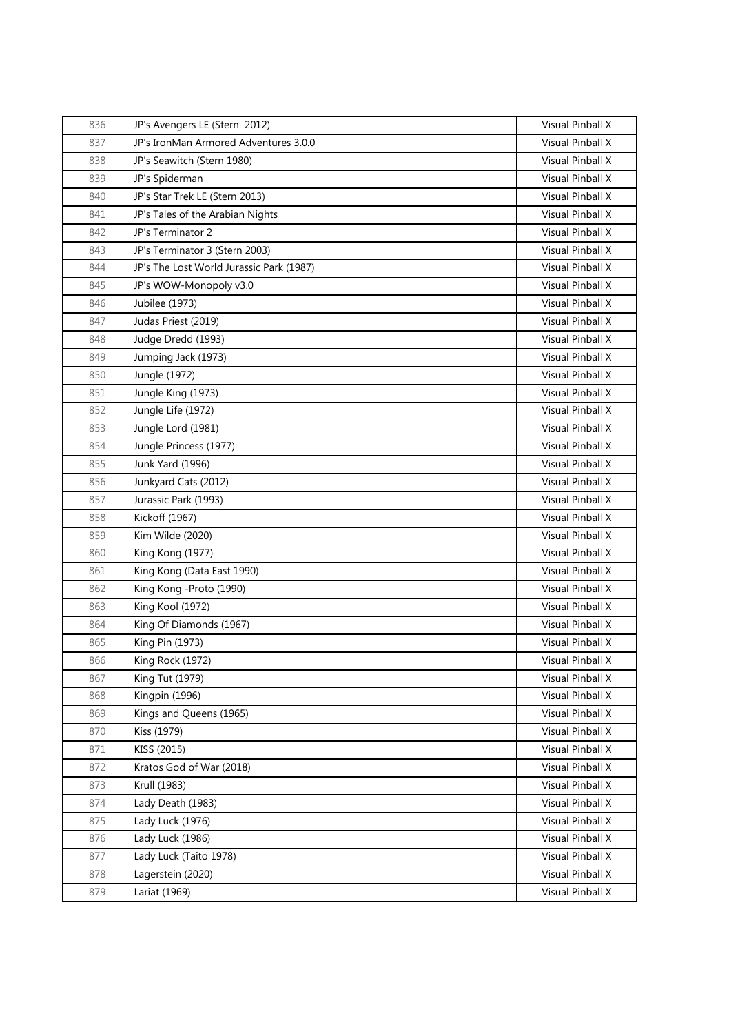| 836 | JP's Avengers LE (Stern 2012)            | <b>Visual Pinball X</b> |
|-----|------------------------------------------|-------------------------|
| 837 | JP's IronMan Armored Adventures 3.0.0    | <b>Visual Pinball X</b> |
| 838 | JP's Seawitch (Stern 1980)               | <b>Visual Pinball X</b> |
| 839 | JP's Spiderman                           | Visual Pinball X        |
| 840 | JP's Star Trek LE (Stern 2013)           | <b>Visual Pinball X</b> |
| 841 | JP's Tales of the Arabian Nights         | <b>Visual Pinball X</b> |
| 842 | JP's Terminator 2                        | <b>Visual Pinball X</b> |
| 843 | JP's Terminator 3 (Stern 2003)           | Visual Pinball X        |
| 844 | JP's The Lost World Jurassic Park (1987) | <b>Visual Pinball X</b> |
| 845 | JP's WOW-Monopoly v3.0                   | <b>Visual Pinball X</b> |
| 846 | Jubilee (1973)                           | <b>Visual Pinball X</b> |
| 847 | Judas Priest (2019)                      | Visual Pinball X        |
| 848 | Judge Dredd (1993)                       | <b>Visual Pinball X</b> |
| 849 | Jumping Jack (1973)                      | Visual Pinball X        |
| 850 | Jungle (1972)                            | <b>Visual Pinball X</b> |
| 851 | Jungle King (1973)                       | <b>Visual Pinball X</b> |
| 852 | Jungle Life (1972)                       | Visual Pinball X        |
| 853 | Jungle Lord (1981)                       | <b>Visual Pinball X</b> |
| 854 | Jungle Princess (1977)                   | Visual Pinball X        |
| 855 | Junk Yard (1996)                         | <b>Visual Pinball X</b> |
| 856 | Junkyard Cats (2012)                     | Visual Pinball X        |
| 857 | Jurassic Park (1993)                     | Visual Pinball X        |
| 858 | Kickoff (1967)                           | Visual Pinball X        |
| 859 | Kim Wilde (2020)                         | Visual Pinball X        |
| 860 | King Kong (1977)                         | <b>Visual Pinball X</b> |
| 861 | King Kong (Data East 1990)               | <b>Visual Pinball X</b> |
| 862 | King Kong - Proto (1990)                 | <b>Visual Pinball X</b> |
| 863 | King Kool (1972)                         | <b>Visual Pinball X</b> |
| 864 | King Of Diamonds (1967)                  | <b>Visual Pinball X</b> |
| 865 | King Pin (1973)                          | Visual Pinball X        |
| 866 | King Rock (1972)                         | Visual Pinball X        |
| 867 | King Tut (1979)                          | Visual Pinball X        |
| 868 | Kingpin $(1996)$                         | Visual Pinball X        |
| 869 | Kings and Queens (1965)                  | Visual Pinball X        |
| 870 | Kiss (1979)                              | <b>Visual Pinball X</b> |
| 871 | KISS (2015)                              | Visual Pinball X        |
| 872 | Kratos God of War (2018)                 | Visual Pinball X        |
| 873 | Krull (1983)                             | <b>Visual Pinball X</b> |
| 874 | Lady Death (1983)                        | Visual Pinball X        |
| 875 | Lady Luck (1976)                         | Visual Pinball X        |
| 876 | Lady Luck (1986)                         | Visual Pinball X        |
| 877 | Lady Luck (Taito 1978)                   | Visual Pinball X        |
| 878 | Lagerstein (2020)                        | Visual Pinball X        |
| 879 | Lariat (1969)                            | Visual Pinball X        |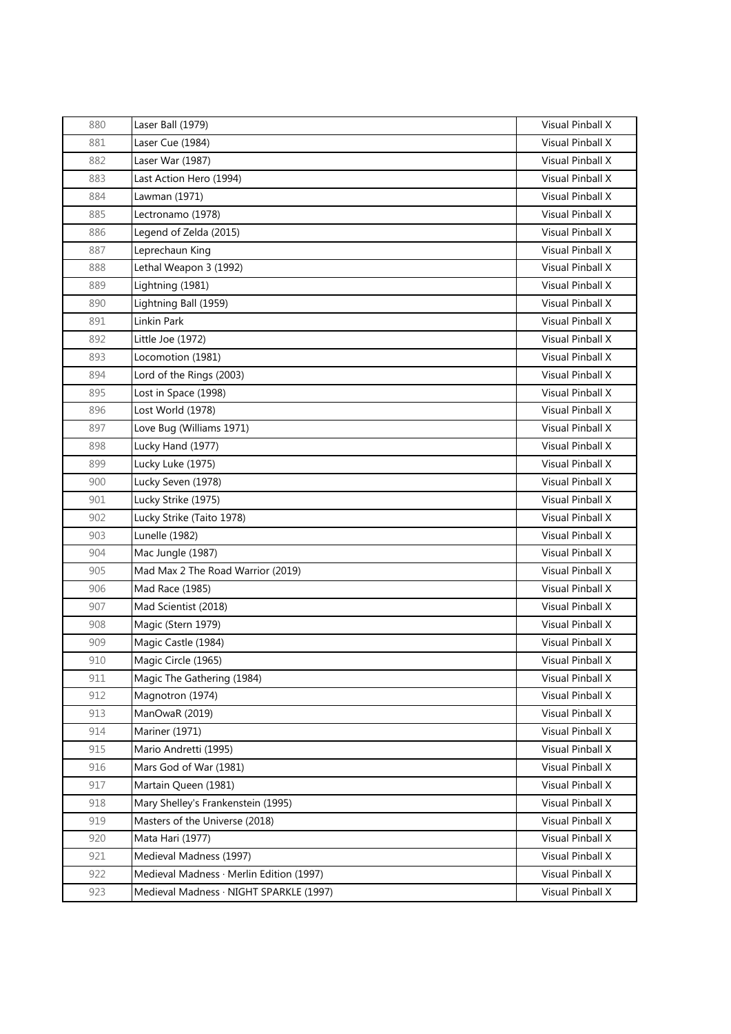| 880 | Laser Ball (1979)                        | Visual Pinball X        |
|-----|------------------------------------------|-------------------------|
| 881 | Laser Cue (1984)                         | <b>Visual Pinball X</b> |
| 882 | Laser War (1987)                         | <b>Visual Pinball X</b> |
| 883 | Last Action Hero (1994)                  | Visual Pinball X        |
| 884 | Lawman (1971)                            | <b>Visual Pinball X</b> |
| 885 | Lectronamo (1978)                        | <b>Visual Pinball X</b> |
| 886 | Legend of Zelda (2015)                   | <b>Visual Pinball X</b> |
| 887 | Leprechaun King                          | <b>Visual Pinball X</b> |
| 888 | Lethal Weapon 3 (1992)                   | Visual Pinball X        |
| 889 | Lightning (1981)                         | <b>Visual Pinball X</b> |
| 890 | Lightning Ball (1959)                    | <b>Visual Pinball X</b> |
| 891 | Linkin Park                              | Visual Pinball X        |
| 892 | Little Joe (1972)                        | <b>Visual Pinball X</b> |
| 893 | Locomotion (1981)                        | Visual Pinball X        |
| 894 | Lord of the Rings (2003)                 | <b>Visual Pinball X</b> |
| 895 | Lost in Space (1998)                     | <b>Visual Pinball X</b> |
| 896 | Lost World (1978)                        | <b>Visual Pinball X</b> |
| 897 | Love Bug (Williams 1971)                 | <b>Visual Pinball X</b> |
| 898 | Lucky Hand (1977)                        | <b>Visual Pinball X</b> |
| 899 | Lucky Luke (1975)                        | <b>Visual Pinball X</b> |
| 900 | Lucky Seven (1978)                       | <b>Visual Pinball X</b> |
| 901 | Lucky Strike (1975)                      | <b>Visual Pinball X</b> |
| 902 | Lucky Strike (Taito 1978)                | Visual Pinball X        |
| 903 | Lunelle (1982)                           | Visual Pinball X        |
| 904 | Mac Jungle (1987)                        | <b>Visual Pinball X</b> |
| 905 | Mad Max 2 The Road Warrior (2019)        | <b>Visual Pinball X</b> |
| 906 | Mad Race (1985)                          | <b>Visual Pinball X</b> |
| 907 | Mad Scientist (2018)                     | Visual Pinball X        |
| 908 | Magic (Stern 1979)                       | Visual Pinball X        |
| 909 | Magic Castle (1984)                      | <b>Visual Pinball X</b> |
| 910 | Magic Circle (1965)                      | <b>Visual Pinball X</b> |
| 911 | Magic The Gathering (1984)               | Visual Pinball X        |
| 912 | Magnotron (1974)                         | Visual Pinball X        |
| 913 | ManOwaR (2019)                           | Visual Pinball X        |
| 914 | Mariner (1971)                           | <b>Visual Pinball X</b> |
| 915 | Mario Andretti (1995)                    | Visual Pinball X        |
| 916 | Mars God of War (1981)                   | Visual Pinball X        |
| 917 | Martain Queen (1981)                     | Visual Pinball X        |
| 918 | Mary Shelley's Frankenstein (1995)       | Visual Pinball X        |
| 919 | Masters of the Universe (2018)           | Visual Pinball X        |
| 920 | Mata Hari (1977)                         | Visual Pinball X        |
| 921 | Medieval Madness (1997)                  | Visual Pinball X        |
| 922 | Medieval Madness · Merlin Edition (1997) | Visual Pinball X        |
| 923 | Medieval Madness · NIGHT SPARKLE (1997)  | Visual Pinball X        |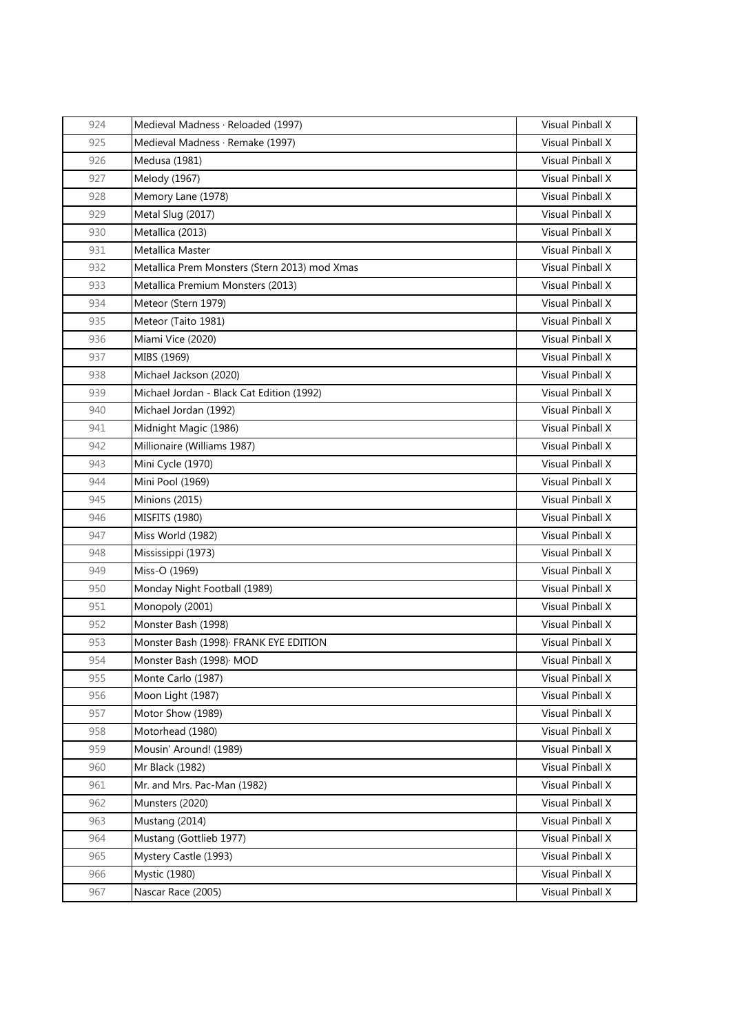| 924 | Medieval Madness · Reloaded (1997)            | <b>Visual Pinball X</b> |
|-----|-----------------------------------------------|-------------------------|
| 925 | Medieval Madness · Remake (1997)              | <b>Visual Pinball X</b> |
| 926 | Medusa (1981)                                 | <b>Visual Pinball X</b> |
| 927 | Melody (1967)                                 | Visual Pinball X        |
| 928 | Memory Lane (1978)                            | Visual Pinball X        |
| 929 | Metal Slug (2017)                             | <b>Visual Pinball X</b> |
| 930 | Metallica (2013)                              | <b>Visual Pinball X</b> |
| 931 | Metallica Master                              | Visual Pinball X        |
| 932 | Metallica Prem Monsters (Stern 2013) mod Xmas | <b>Visual Pinball X</b> |
| 933 | Metallica Premium Monsters (2013)             | <b>Visual Pinball X</b> |
| 934 | Meteor (Stern 1979)                           | <b>Visual Pinball X</b> |
| 935 | Meteor (Taito 1981)                           | <b>Visual Pinball X</b> |
| 936 | Miami Vice (2020)                             | <b>Visual Pinball X</b> |
| 937 | MIBS (1969)                                   | Visual Pinball X        |
| 938 | Michael Jackson (2020)                        | <b>Visual Pinball X</b> |
| 939 | Michael Jordan - Black Cat Edition (1992)     | <b>Visual Pinball X</b> |
| 940 | Michael Jordan (1992)                         | Visual Pinball X        |
| 941 | Midnight Magic (1986)                         | <b>Visual Pinball X</b> |
| 942 | Millionaire (Williams 1987)                   | <b>Visual Pinball X</b> |
| 943 | Mini Cycle (1970)                             | <b>Visual Pinball X</b> |
| 944 | Mini Pool (1969)                              | <b>Visual Pinball X</b> |
| 945 | Minions (2015)                                | Visual Pinball X        |
| 946 | MISFITS (1980)                                | <b>Visual Pinball X</b> |
| 947 | Miss World (1982)                             | Visual Pinball X        |
| 948 | Mississippi (1973)                            | <b>Visual Pinball X</b> |
| 949 | Miss-O (1969)                                 | <b>Visual Pinball X</b> |
| 950 | Monday Night Football (1989)                  | <b>Visual Pinball X</b> |
| 951 | Monopoly (2001)                               | Visual Pinball X        |
| 952 | Monster Bash (1998)                           | <b>Visual Pinball X</b> |
| 953 | Monster Bash (1998) FRANK EYE EDITION         | Visual Pinball X        |
| 954 | Monster Bash (1998) MOD                       | Visual Pinball X        |
| 955 | Monte Carlo (1987)                            | Visual Pinball X        |
| 956 | Moon Light (1987)                             | <b>Visual Pinball X</b> |
| 957 | Motor Show (1989)                             | Visual Pinball X        |
| 958 | Motorhead (1980)                              | <b>Visual Pinball X</b> |
| 959 | Mousin' Around! (1989)                        | Visual Pinball X        |
| 960 | Mr Black (1982)                               | Visual Pinball X        |
| 961 | Mr. and Mrs. Pac-Man (1982)                   | Visual Pinball X        |
| 962 | Munsters (2020)                               | Visual Pinball X        |
| 963 | Mustang (2014)                                | <b>Visual Pinball X</b> |
| 964 | Mustang (Gottlieb 1977)                       | Visual Pinball X        |
| 965 | Mystery Castle (1993)                         | Visual Pinball X        |
| 966 | Mystic (1980)                                 | Visual Pinball X        |
| 967 | Nascar Race (2005)                            | Visual Pinball X        |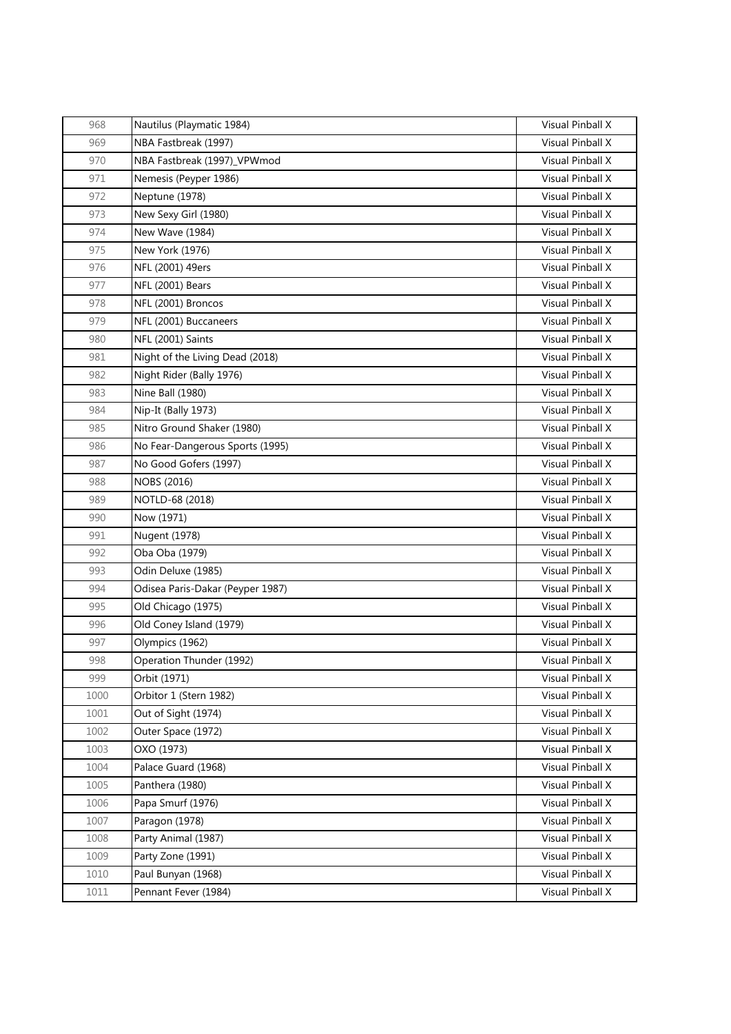| 968  | Nautilus (Playmatic 1984)        | Visual Pinball X        |
|------|----------------------------------|-------------------------|
| 969  | NBA Fastbreak (1997)             | <b>Visual Pinball X</b> |
| 970  | NBA Fastbreak (1997)_VPWmod      | <b>Visual Pinball X</b> |
| 971  | Nemesis (Peyper 1986)            | Visual Pinball X        |
| 972  | Neptune (1978)                   | <b>Visual Pinball X</b> |
| 973  | New Sexy Girl (1980)             | <b>Visual Pinball X</b> |
| 974  | New Wave (1984)                  | <b>Visual Pinball X</b> |
| 975  | New York (1976)                  | <b>Visual Pinball X</b> |
| 976  | NFL (2001) 49ers                 | Visual Pinball X        |
| 977  | <b>NFL (2001) Bears</b>          | <b>Visual Pinball X</b> |
| 978  | NFL (2001) Broncos               | Visual Pinball X        |
| 979  | NFL (2001) Buccaneers            | <b>Visual Pinball X</b> |
| 980  | NFL (2001) Saints                | Visual Pinball X        |
| 981  | Night of the Living Dead (2018)  | <b>Visual Pinball X</b> |
| 982  | Night Rider (Bally 1976)         | <b>Visual Pinball X</b> |
| 983  | Nine Ball (1980)                 | <b>Visual Pinball X</b> |
| 984  | Nip-It (Bally 1973)              | <b>Visual Pinball X</b> |
| 985  | Nitro Ground Shaker (1980)       | <b>Visual Pinball X</b> |
| 986  | No Fear-Dangerous Sports (1995)  | <b>Visual Pinball X</b> |
| 987  | No Good Gofers (1997)            | <b>Visual Pinball X</b> |
| 988  | <b>NOBS (2016)</b>               | <b>Visual Pinball X</b> |
| 989  | NOTLD-68 (2018)                  | <b>Visual Pinball X</b> |
| 990  | Now (1971)                       | Visual Pinball X        |
| 991  | Nugent (1978)                    | <b>Visual Pinball X</b> |
| 992  | Oba Oba (1979)                   | <b>Visual Pinball X</b> |
| 993  | Odin Deluxe (1985)               | Visual Pinball X        |
| 994  | Odisea Paris-Dakar (Peyper 1987) | <b>Visual Pinball X</b> |
| 995  | Old Chicago (1975)               | Visual Pinball X        |
| 996  | Old Coney Island (1979)          | <b>Visual Pinball X</b> |
| 997  | Olympics (1962)                  | <b>Visual Pinball X</b> |
| 998  | Operation Thunder (1992)         | Visual Pinball X        |
| 999  | Orbit (1971)                     | Visual Pinball X        |
| 1000 | Orbitor 1 (Stern 1982)           | Visual Pinball X        |
| 1001 | Out of Sight (1974)              | Visual Pinball X        |
| 1002 | Outer Space (1972)               | Visual Pinball X        |
| 1003 | OXO (1973)                       | Visual Pinball X        |
| 1004 | Palace Guard (1968)              | Visual Pinball X        |
| 1005 | Panthera (1980)                  | Visual Pinball X        |
| 1006 | Papa Smurf (1976)                | Visual Pinball X        |
| 1007 | Paragon (1978)                   | Visual Pinball X        |
| 1008 | Party Animal (1987)              | Visual Pinball X        |
| 1009 | Party Zone (1991)                | Visual Pinball X        |
| 1010 | Paul Bunyan (1968)               | Visual Pinball X        |
| 1011 | Pennant Fever (1984)             | Visual Pinball X        |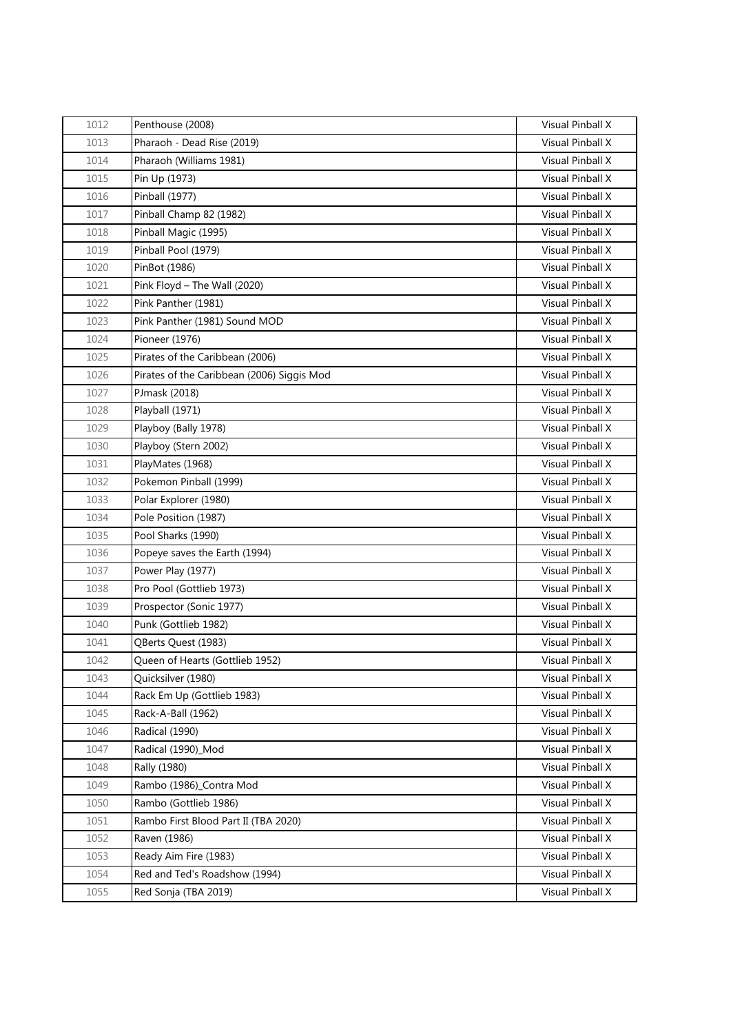| 1012 | Penthouse (2008)                           | Visual Pinball X        |
|------|--------------------------------------------|-------------------------|
| 1013 | Pharaoh - Dead Rise (2019)                 | <b>Visual Pinball X</b> |
| 1014 | Pharaoh (Williams 1981)                    | <b>Visual Pinball X</b> |
| 1015 | Pin Up (1973)                              | Visual Pinball X        |
| 1016 | Pinball (1977)                             | <b>Visual Pinball X</b> |
| 1017 | Pinball Champ 82 (1982)                    | <b>Visual Pinball X</b> |
| 1018 | Pinball Magic (1995)                       | <b>Visual Pinball X</b> |
| 1019 | Pinball Pool (1979)                        | <b>Visual Pinball X</b> |
| 1020 | PinBot (1986)                              | <b>Visual Pinball X</b> |
| 1021 | Pink Floyd - The Wall (2020)               | <b>Visual Pinball X</b> |
| 1022 | Pink Panther (1981)                        | Visual Pinball X        |
| 1023 | Pink Panther (1981) Sound MOD              | <b>Visual Pinball X</b> |
| 1024 | Pioneer (1976)                             | Visual Pinball X        |
| 1025 | Pirates of the Caribbean (2006)            | <b>Visual Pinball X</b> |
| 1026 | Pirates of the Caribbean (2006) Siggis Mod | <b>Visual Pinball X</b> |
| 1027 | PJmask (2018)                              | <b>Visual Pinball X</b> |
| 1028 | Playball (1971)                            | <b>Visual Pinball X</b> |
| 1029 | Playboy (Bally 1978)                       | <b>Visual Pinball X</b> |
| 1030 | Playboy (Stern 2002)                       | <b>Visual Pinball X</b> |
| 1031 | PlayMates (1968)                           | <b>Visual Pinball X</b> |
| 1032 | Pokemon Pinball (1999)                     | <b>Visual Pinball X</b> |
| 1033 | Polar Explorer (1980)                      | <b>Visual Pinball X</b> |
| 1034 | Pole Position (1987)                       | Visual Pinball X        |
| 1035 | Pool Sharks (1990)                         | <b>Visual Pinball X</b> |
| 1036 | Popeye saves the Earth (1994)              | <b>Visual Pinball X</b> |
| 1037 | Power Play (1977)                          | Visual Pinball X        |
| 1038 | Pro Pool (Gottlieb 1973)                   | <b>Visual Pinball X</b> |
| 1039 | Prospector (Sonic 1977)                    | Visual Pinball X        |
| 1040 | Punk (Gottlieb 1982)                       | <b>Visual Pinball X</b> |
| 1041 | QBerts Quest (1983)                        | <b>Visual Pinball X</b> |
| 1042 | Queen of Hearts (Gottlieb 1952)            | Visual Pinball X        |
| 1043 | Quicksilver (1980)                         | Visual Pinball X        |
| 1044 | Rack Em Up (Gottlieb 1983)                 | Visual Pinball X        |
| 1045 | Rack-A-Ball (1962)                         | Visual Pinball X        |
| 1046 | Radical (1990)                             | <b>Visual Pinball X</b> |
| 1047 | Radical (1990)_Mod                         | Visual Pinball X        |
| 1048 | Rally (1980)                               | Visual Pinball X        |
| 1049 | Rambo (1986)_Contra Mod                    | Visual Pinball X        |
| 1050 | Rambo (Gottlieb 1986)                      | Visual Pinball X        |
| 1051 | Rambo First Blood Part II (TBA 2020)       | Visual Pinball X        |
| 1052 | Raven (1986)                               | Visual Pinball X        |
| 1053 | Ready Aim Fire (1983)                      | <b>Visual Pinball X</b> |
| 1054 | Red and Ted's Roadshow (1994)              | Visual Pinball X        |
| 1055 | Red Sonja (TBA 2019)                       | Visual Pinball X        |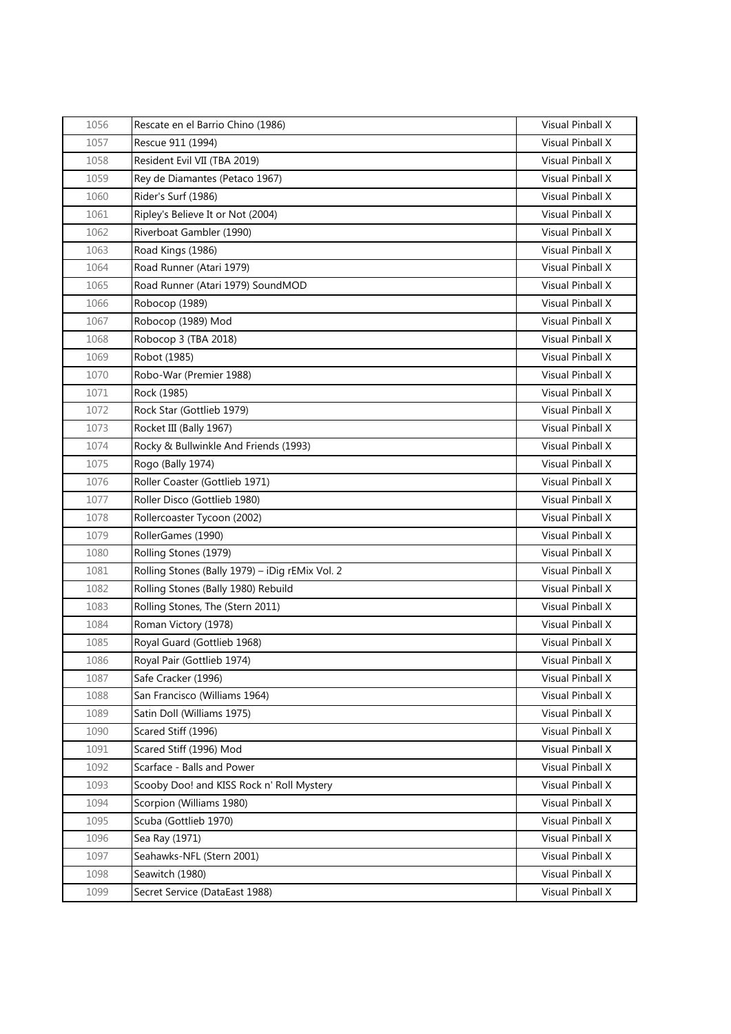| 1056 | Rescate en el Barrio Chino (1986)               | <b>Visual Pinball X</b> |
|------|-------------------------------------------------|-------------------------|
| 1057 | Rescue 911 (1994)                               | <b>Visual Pinball X</b> |
| 1058 | Resident Evil VII (TBA 2019)                    | <b>Visual Pinball X</b> |
| 1059 | Rey de Diamantes (Petaco 1967)                  | <b>Visual Pinball X</b> |
| 1060 | Rider's Surf (1986)                             | Visual Pinball X        |
| 1061 | Ripley's Believe It or Not (2004)               | <b>Visual Pinball X</b> |
| 1062 | Riverboat Gambler (1990)                        | <b>Visual Pinball X</b> |
| 1063 | Road Kings (1986)                               | Visual Pinball X        |
| 1064 | Road Runner (Atari 1979)                        | Visual Pinball X        |
| 1065 | Road Runner (Atari 1979) SoundMOD               | <b>Visual Pinball X</b> |
| 1066 | Robocop (1989)                                  | <b>Visual Pinball X</b> |
| 1067 | Robocop (1989) Mod                              | Visual Pinball X        |
| 1068 | Robocop 3 (TBA 2018)                            | <b>Visual Pinball X</b> |
| 1069 | Robot (1985)                                    | Visual Pinball X        |
| 1070 | Robo-War (Premier 1988)                         | <b>Visual Pinball X</b> |
| 1071 | Rock (1985)                                     | Visual Pinball X        |
| 1072 | Rock Star (Gottlieb 1979)                       | Visual Pinball X        |
| 1073 | Rocket III (Bally 1967)                         | <b>Visual Pinball X</b> |
| 1074 | Rocky & Bullwinkle And Friends (1993)           | <b>Visual Pinball X</b> |
| 1075 | Rogo (Bally 1974)                               | <b>Visual Pinball X</b> |
| 1076 | Roller Coaster (Gottlieb 1971)                  | <b>Visual Pinball X</b> |
| 1077 | Roller Disco (Gottlieb 1980)                    | <b>Visual Pinball X</b> |
| 1078 | Rollercoaster Tycoon (2002)                     | <b>Visual Pinball X</b> |
| 1079 | RollerGames (1990)                              | Visual Pinball X        |
| 1080 | Rolling Stones (1979)                           | <b>Visual Pinball X</b> |
| 1081 | Rolling Stones (Bally 1979) - iDig rEMix Vol. 2 | <b>Visual Pinball X</b> |
| 1082 | Rolling Stones (Bally 1980) Rebuild             | <b>Visual Pinball X</b> |
| 1083 | Rolling Stones, The (Stern 2011)                | Visual Pinball X        |
| 1084 | Roman Victory (1978)                            | <b>Visual Pinball X</b> |
| 1085 | Royal Guard (Gottlieb 1968)                     | <b>Visual Pinball X</b> |
| 1086 | Royal Pair (Gottlieb 1974)                      | Visual Pinball X        |
| 1087 | Safe Cracker (1996)                             | Visual Pinball X        |
| 1088 | San Francisco (Williams 1964)                   | Visual Pinball X        |
| 1089 | Satin Doll (Williams 1975)                      | Visual Pinball X        |
| 1090 | Scared Stiff (1996)                             | Visual Pinball X        |
| 1091 | Scared Stiff (1996) Mod                         | Visual Pinball X        |
| 1092 | Scarface - Balls and Power                      | Visual Pinball X        |
| 1093 | Scooby Doo! and KISS Rock n' Roll Mystery       | Visual Pinball X        |
| 1094 | Scorpion (Williams 1980)                        | Visual Pinball X        |
| 1095 | Scuba (Gottlieb 1970)                           | <b>Visual Pinball X</b> |
| 1096 | Sea Ray (1971)                                  | Visual Pinball X        |
| 1097 | Seahawks-NFL (Stern 2001)                       | Visual Pinball X        |
| 1098 | Seawitch (1980)                                 | Visual Pinball X        |
| 1099 | Secret Service (DataEast 1988)                  | Visual Pinball X        |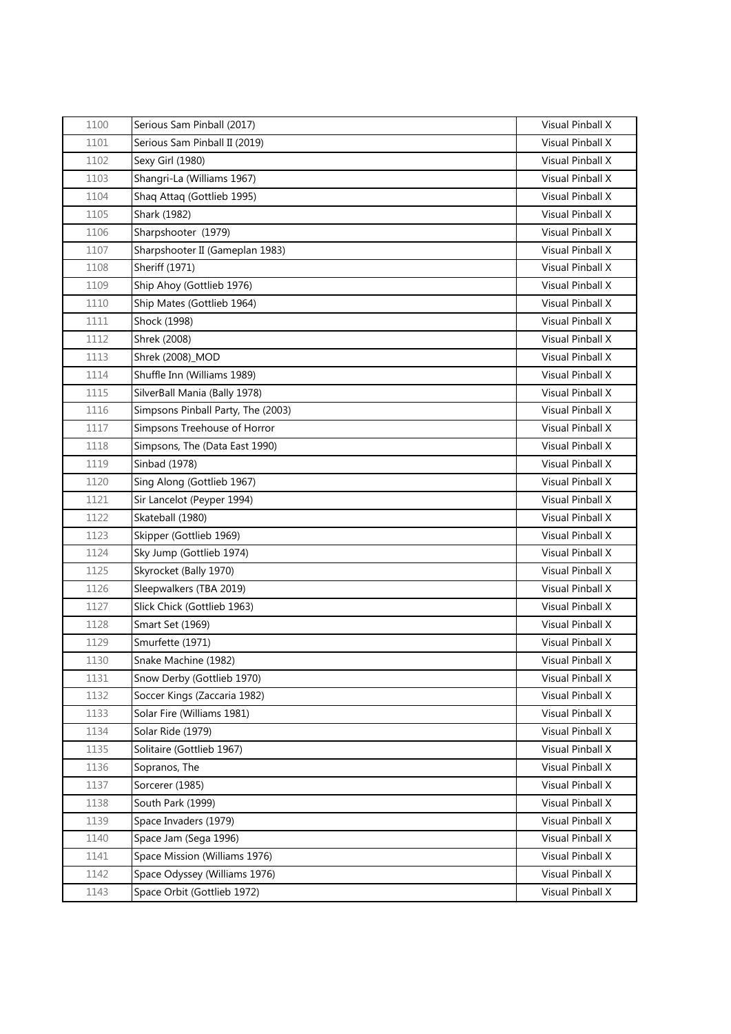| 1100 | Serious Sam Pinball (2017)         | Visual Pinball X        |
|------|------------------------------------|-------------------------|
| 1101 | Serious Sam Pinball II (2019)      | <b>Visual Pinball X</b> |
| 1102 | Sexy Girl (1980)                   | <b>Visual Pinball X</b> |
| 1103 | Shangri-La (Williams 1967)         | Visual Pinball X        |
| 1104 | Shaq Attaq (Gottlieb 1995)         | <b>Visual Pinball X</b> |
| 1105 | Shark (1982)                       | <b>Visual Pinball X</b> |
| 1106 | Sharpshooter (1979)                | <b>Visual Pinball X</b> |
| 1107 | Sharpshooter II (Gameplan 1983)    | <b>Visual Pinball X</b> |
| 1108 | Sheriff (1971)                     | Visual Pinball X        |
| 1109 | Ship Ahoy (Gottlieb 1976)          | <b>Visual Pinball X</b> |
| 1110 | Ship Mates (Gottlieb 1964)         | <b>Visual Pinball X</b> |
| 1111 | Shock (1998)                       | <b>Visual Pinball X</b> |
| 1112 | Shrek (2008)                       | <b>Visual Pinball X</b> |
| 1113 | Shrek (2008)_MOD                   | <b>Visual Pinball X</b> |
| 1114 | Shuffle Inn (Williams 1989)        | <b>Visual Pinball X</b> |
| 1115 | SilverBall Mania (Bally 1978)      | Visual Pinball X        |
| 1116 | Simpsons Pinball Party, The (2003) | <b>Visual Pinball X</b> |
| 1117 | Simpsons Treehouse of Horror       | <b>Visual Pinball X</b> |
| 1118 | Simpsons, The (Data East 1990)     | <b>Visual Pinball X</b> |
| 1119 | Sinbad (1978)                      | <b>Visual Pinball X</b> |
| 1120 | Sing Along (Gottlieb 1967)         | <b>Visual Pinball X</b> |
| 1121 | Sir Lancelot (Peyper 1994)         | <b>Visual Pinball X</b> |
| 1122 | Skateball (1980)                   | Visual Pinball X        |
| 1123 | Skipper (Gottlieb 1969)            | Visual Pinball X        |
| 1124 | Sky Jump (Gottlieb 1974)           | Visual Pinball X        |
| 1125 | Skyrocket (Bally 1970)             | <b>Visual Pinball X</b> |
| 1126 | Sleepwalkers (TBA 2019)            | <b>Visual Pinball X</b> |
| 1127 | Slick Chick (Gottlieb 1963)        | Visual Pinball X        |
| 1128 | Smart Set (1969)                   | <b>Visual Pinball X</b> |
| 1129 | Smurfette (1971)                   | <b>Visual Pinball X</b> |
| 1130 | Snake Machine (1982)               | Visual Pinball X        |
| 1131 | Snow Derby (Gottlieb 1970)         | Visual Pinball X        |
| 1132 | Soccer Kings (Zaccaria 1982)       | Visual Pinball X        |
| 1133 | Solar Fire (Williams 1981)         | Visual Pinball X        |
| 1134 | Solar Ride (1979)                  | Visual Pinball X        |
| 1135 | Solitaire (Gottlieb 1967)          | Visual Pinball X        |
| 1136 | Sopranos, The                      | Visual Pinball X        |
| 1137 | Sorcerer (1985)                    | Visual Pinball X        |
| 1138 | South Park (1999)                  | Visual Pinball X        |
| 1139 | Space Invaders (1979)              | Visual Pinball X        |
| 1140 | Space Jam (Sega 1996)              | Visual Pinball X        |
| 1141 | Space Mission (Williams 1976)      | Visual Pinball X        |
| 1142 | Space Odyssey (Williams 1976)      | Visual Pinball X        |
| 1143 | Space Orbit (Gottlieb 1972)        | Visual Pinball X        |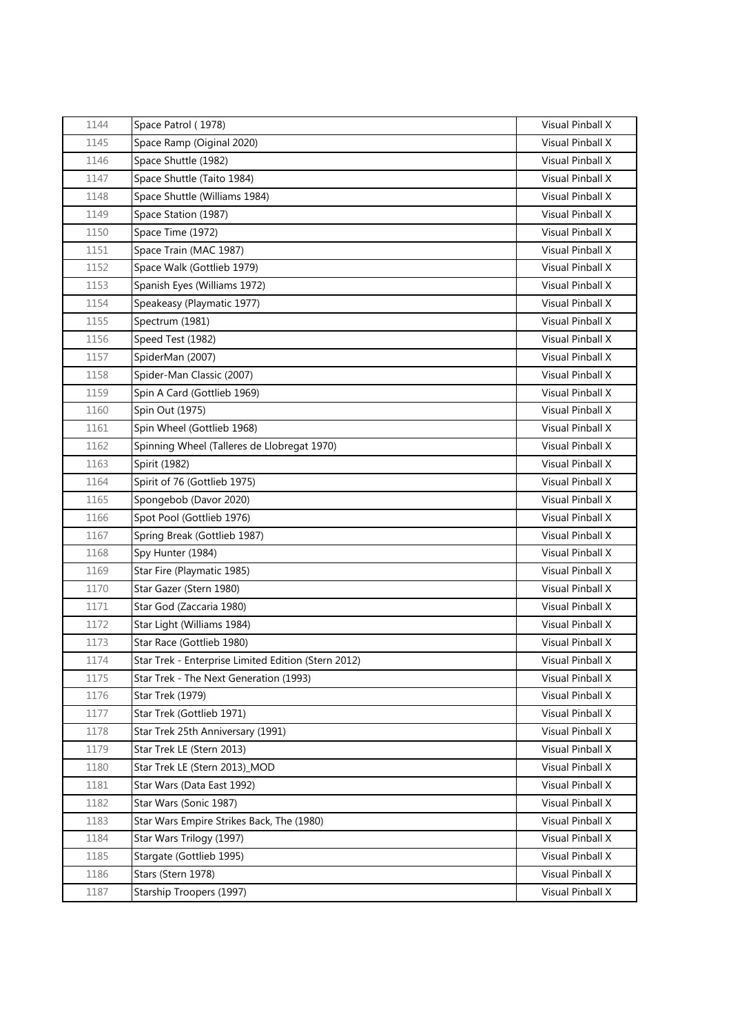| 1144 | Space Patrol (1978)                                 | <b>Visual Pinball X</b> |
|------|-----------------------------------------------------|-------------------------|
| 1145 | Space Ramp (Oiginal 2020)                           | <b>Visual Pinball X</b> |
| 1146 | Space Shuttle (1982)                                | Visual Pinball X        |
| 1147 | Space Shuttle (Taito 1984)                          | <b>Visual Pinball X</b> |
| 1148 | Space Shuttle (Williams 1984)                       | <b>Visual Pinball X</b> |
| 1149 | Space Station (1987)                                | <b>Visual Pinball X</b> |
| 1150 | Space Time (1972)                                   | <b>Visual Pinball X</b> |
| 1151 | Space Train (MAC 1987)                              | <b>Visual Pinball X</b> |
| 1152 | Space Walk (Gottlieb 1979)                          | <b>Visual Pinball X</b> |
| 1153 | Spanish Eyes (Williams 1972)                        | <b>Visual Pinball X</b> |
| 1154 | Speakeasy (Playmatic 1977)                          | <b>Visual Pinball X</b> |
| 1155 | Spectrum (1981)                                     | <b>Visual Pinball X</b> |
| 1156 | Speed Test (1982)                                   | Visual Pinball X        |
| 1157 | SpiderMan (2007)                                    | <b>Visual Pinball X</b> |
| 1158 | Spider-Man Classic (2007)                           | <b>Visual Pinball X</b> |
| 1159 | Spin A Card (Gottlieb 1969)                         | <b>Visual Pinball X</b> |
| 1160 | Spin Out (1975)                                     | Visual Pinball X        |
| 1161 | Spin Wheel (Gottlieb 1968)                          | Visual Pinball X        |
| 1162 | Spinning Wheel (Talleres de Llobregat 1970)         | <b>Visual Pinball X</b> |
| 1163 | Spirit (1982)                                       | <b>Visual Pinball X</b> |
| 1164 | Spirit of 76 (Gottlieb 1975)                        | Visual Pinball X        |
| 1165 | Spongebob (Davor 2020)                              | <b>Visual Pinball X</b> |
| 1166 | Spot Pool (Gottlieb 1976)                           | <b>Visual Pinball X</b> |
| 1167 | Spring Break (Gottlieb 1987)                        | <b>Visual Pinball X</b> |
| 1168 | Spy Hunter (1984)                                   | <b>Visual Pinball X</b> |
| 1169 | Star Fire (Playmatic 1985)                          | <b>Visual Pinball X</b> |
| 1170 | Star Gazer (Stern 1980)                             | Visual Pinball X        |
| 1171 | Star God (Zaccaria 1980)                            | <b>Visual Pinball X</b> |
| 1172 | Star Light (Williams 1984)                          | Visual Pinball X        |
| 1173 | Star Race (Gottlieb 1980)                           | Visual Pinball X        |
| 1174 | Star Trek - Enterprise Limited Edition (Stern 2012) | <b>Visual Pinball X</b> |
| 1175 | Star Trek - The Next Generation (1993)              | Visual Pinball X        |
| 1176 | <b>Star Trek (1979)</b>                             | Visual Pinball X        |
| 1177 | Star Trek (Gottlieb 1971)                           | Visual Pinball X        |
| 1178 | Star Trek 25th Anniversary (1991)                   | Visual Pinball X        |
| 1179 | Star Trek LE (Stern 2013)                           | Visual Pinball X        |
| 1180 | Star Trek LE (Stern 2013)_MOD                       | <b>Visual Pinball X</b> |
| 1181 | Star Wars (Data East 1992)                          | Visual Pinball X        |
| 1182 | Star Wars (Sonic 1987)                              | <b>Visual Pinball X</b> |
| 1183 | Star Wars Empire Strikes Back, The (1980)           | Visual Pinball X        |
| 1184 | Star Wars Trilogy (1997)                            | Visual Pinball X        |
| 1185 | Stargate (Gottlieb 1995)                            | Visual Pinball X        |
| 1186 | Stars (Stern 1978)                                  | Visual Pinball X        |
| 1187 | Starship Troopers (1997)                            | Visual Pinball X        |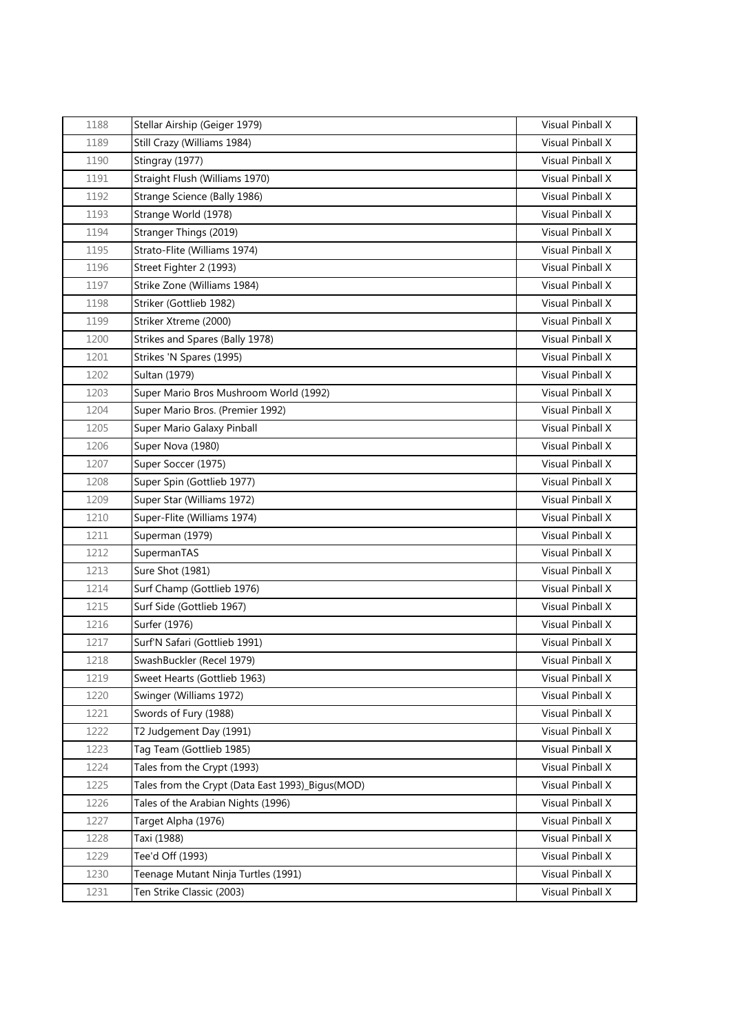| 1188 | Stellar Airship (Geiger 1979)                    | <b>Visual Pinball X</b> |
|------|--------------------------------------------------|-------------------------|
| 1189 | Still Crazy (Williams 1984)                      | <b>Visual Pinball X</b> |
| 1190 | Stingray (1977)                                  | <b>Visual Pinball X</b> |
| 1191 | Straight Flush (Williams 1970)                   | Visual Pinball X        |
| 1192 | Strange Science (Bally 1986)                     | Visual Pinball X        |
| 1193 | Strange World (1978)                             | <b>Visual Pinball X</b> |
| 1194 | Stranger Things (2019)                           | <b>Visual Pinball X</b> |
| 1195 | Strato-Flite (Williams 1974)                     | Visual Pinball X        |
| 1196 | Street Fighter 2 (1993)                          | Visual Pinball X        |
| 1197 | Strike Zone (Williams 1984)                      | <b>Visual Pinball X</b> |
| 1198 | Striker (Gottlieb 1982)                          | <b>Visual Pinball X</b> |
| 1199 | Striker Xtreme (2000)                            | Visual Pinball X        |
| 1200 | Strikes and Spares (Bally 1978)                  | <b>Visual Pinball X</b> |
| 1201 | Strikes 'N Spares (1995)                         | <b>Visual Pinball X</b> |
| 1202 | Sultan (1979)                                    | <b>Visual Pinball X</b> |
| 1203 | Super Mario Bros Mushroom World (1992)           | Visual Pinball X        |
| 1204 | Super Mario Bros. (Premier 1992)                 | Visual Pinball X        |
| 1205 | Super Mario Galaxy Pinball                       | <b>Visual Pinball X</b> |
| 1206 | Super Nova (1980)                                | <b>Visual Pinball X</b> |
| 1207 | Super Soccer (1975)                              | <b>Visual Pinball X</b> |
| 1208 | Super Spin (Gottlieb 1977)                       | <b>Visual Pinball X</b> |
| 1209 | Super Star (Williams 1972)                       | <b>Visual Pinball X</b> |
| 1210 | Super-Flite (Williams 1974)                      | <b>Visual Pinball X</b> |
| 1211 | Superman (1979)                                  | Visual Pinball X        |
| 1212 | SupermanTAS                                      | <b>Visual Pinball X</b> |
| 1213 | Sure Shot (1981)                                 | <b>Visual Pinball X</b> |
| 1214 | Surf Champ (Gottlieb 1976)                       | <b>Visual Pinball X</b> |
| 1215 | Surf Side (Gottlieb 1967)                        | Visual Pinball X        |
| 1216 | Surfer (1976)                                    | <b>Visual Pinball X</b> |
| 1217 | Surf'N Safari (Gottlieb 1991)                    | Visual Pinball X        |
| 1218 | SwashBuckler (Recel 1979)                        | Visual Pinball X        |
| 1219 | Sweet Hearts (Gottlieb 1963)                     | Visual Pinball X        |
| 1220 | Swinger (Williams 1972)                          | <b>Visual Pinball X</b> |
| 1221 | Swords of Fury (1988)                            | Visual Pinball X        |
| 1222 | T2 Judgement Day (1991)                          | Visual Pinball X        |
| 1223 | Tag Team (Gottlieb 1985)                         | Visual Pinball X        |
| 1224 | Tales from the Crypt (1993)                      | Visual Pinball X        |
| 1225 | Tales from the Crypt (Data East 1993)_Bigus(MOD) | Visual Pinball X        |
| 1226 | Tales of the Arabian Nights (1996)               | Visual Pinball X        |
| 1227 | Target Alpha (1976)                              | Visual Pinball X        |
| 1228 | Taxi (1988)                                      | Visual Pinball X        |
| 1229 | Tee'd Off (1993)                                 | Visual Pinball X        |
| 1230 | Teenage Mutant Ninja Turtles (1991)              | Visual Pinball X        |
| 1231 | Ten Strike Classic (2003)                        | Visual Pinball X        |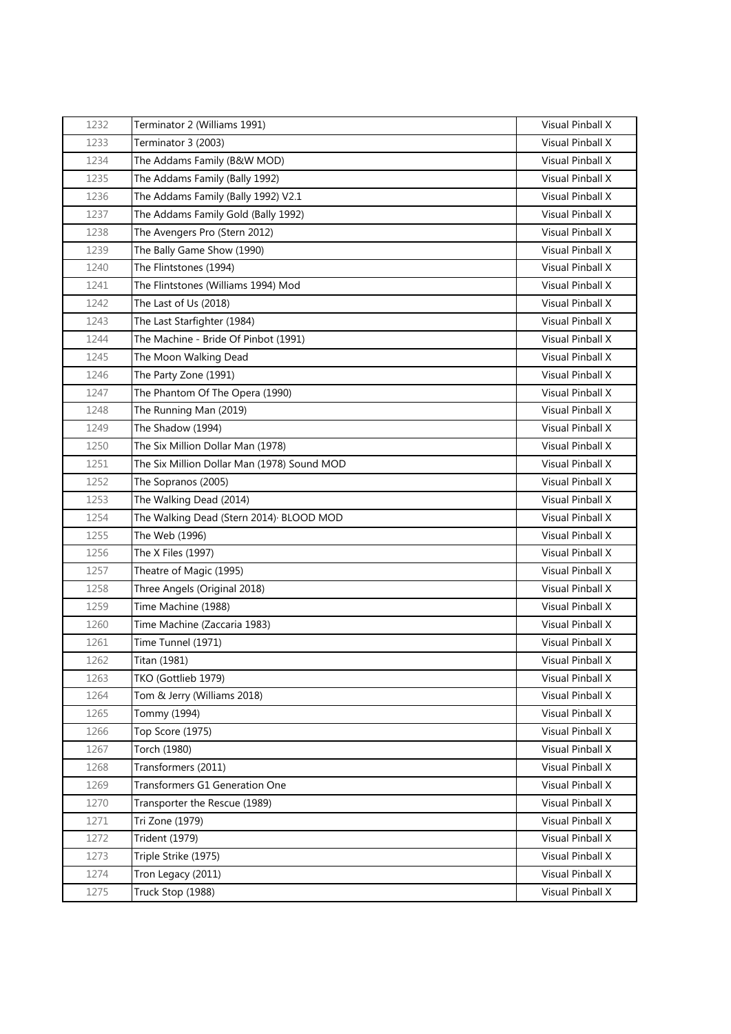| 1232 | Terminator 2 (Williams 1991)                | <b>Visual Pinball X</b> |
|------|---------------------------------------------|-------------------------|
| 1233 | Terminator 3 (2003)                         | <b>Visual Pinball X</b> |
| 1234 | The Addams Family (B&W MOD)                 | <b>Visual Pinball X</b> |
| 1235 | The Addams Family (Bally 1992)              | Visual Pinball X        |
| 1236 | The Addams Family (Bally 1992) V2.1         | Visual Pinball X        |
| 1237 | The Addams Family Gold (Bally 1992)         | <b>Visual Pinball X</b> |
| 1238 | The Avengers Pro (Stern 2012)               | <b>Visual Pinball X</b> |
| 1239 | The Bally Game Show (1990)                  | Visual Pinball X        |
| 1240 | The Flintstones (1994)                      | Visual Pinball X        |
| 1241 | The Flintstones (Williams 1994) Mod         | <b>Visual Pinball X</b> |
| 1242 | The Last of Us (2018)                       | Visual Pinball X        |
| 1243 | The Last Starfighter (1984)                 | Visual Pinball X        |
| 1244 | The Machine - Bride Of Pinbot (1991)        | <b>Visual Pinball X</b> |
| 1245 | The Moon Walking Dead                       | Visual Pinball X        |
| 1246 | The Party Zone (1991)                       | <b>Visual Pinball X</b> |
| 1247 | The Phantom Of The Opera (1990)             | Visual Pinball X        |
| 1248 | The Running Man (2019)                      | Visual Pinball X        |
| 1249 | The Shadow (1994)                           | Visual Pinball X        |
| 1250 | The Six Million Dollar Man (1978)           | <b>Visual Pinball X</b> |
| 1251 | The Six Million Dollar Man (1978) Sound MOD | <b>Visual Pinball X</b> |
| 1252 | The Sopranos (2005)                         | <b>Visual Pinball X</b> |
| 1253 | The Walking Dead (2014)                     | Visual Pinball X        |
| 1254 | The Walking Dead (Stern 2014) BLOOD MOD     | Visual Pinball X        |
| 1255 | The Web (1996)                              | Visual Pinball X        |
| 1256 | The X Files (1997)                          | <b>Visual Pinball X</b> |
| 1257 | Theatre of Magic (1995)                     | <b>Visual Pinball X</b> |
| 1258 | Three Angels (Original 2018)                | Visual Pinball X        |
| 1259 | Time Machine (1988)                         | <b>Visual Pinball X</b> |
| 1260 | Time Machine (Zaccaria 1983)                | <b>Visual Pinball X</b> |
| 1261 | Time Tunnel (1971)                          | Visual Pinball X        |
| 1262 | Titan (1981)                                | <b>Visual Pinball X</b> |
| 1263 | TKO (Gottlieb 1979)                         | Visual Pinball X        |
| 1264 | Tom & Jerry (Williams 2018)                 | Visual Pinball X        |
| 1265 | Tommy (1994)                                | Visual Pinball X        |
| 1266 | Top Score (1975)                            | <b>Visual Pinball X</b> |
| 1267 | Torch (1980)                                | Visual Pinball X        |
| 1268 | Transformers (2011)                         | Visual Pinball X        |
| 1269 | Transformers G1 Generation One              | Visual Pinball X        |
| 1270 | Transporter the Rescue (1989)               | Visual Pinball X        |
| 1271 | Tri Zone (1979)                             | <b>Visual Pinball X</b> |
| 1272 | Trident (1979)                              | Visual Pinball X        |
| 1273 | Triple Strike (1975)                        | Visual Pinball X        |
| 1274 | Tron Legacy (2011)                          | Visual Pinball X        |
| 1275 | Truck Stop (1988)                           | Visual Pinball X        |